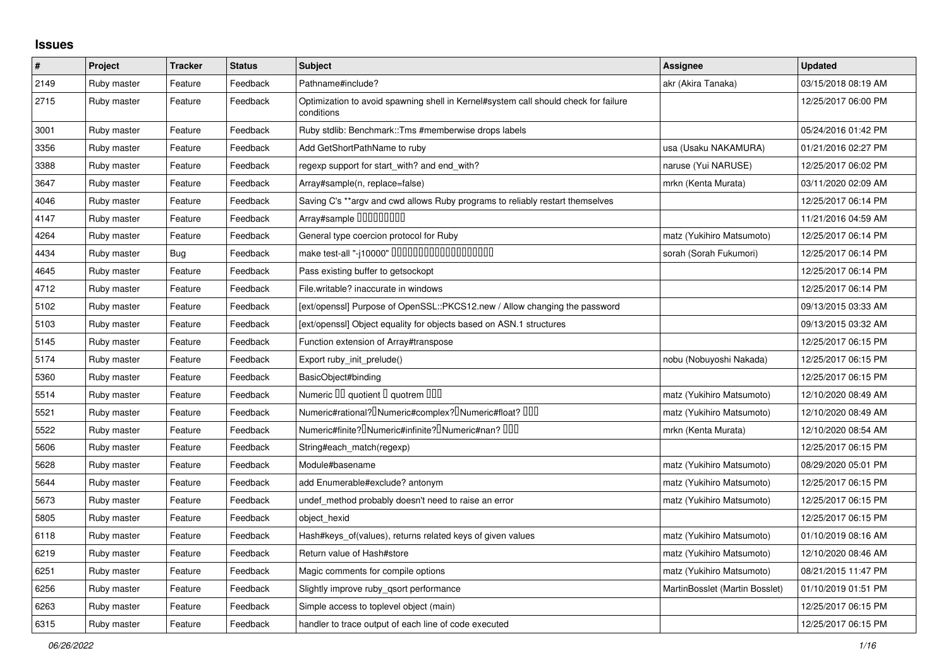## **Issues**

| $\sharp$ | Project     | <b>Tracker</b> | <b>Status</b> | <b>Subject</b>                                                                                    | <b>Assignee</b>                | <b>Updated</b>      |
|----------|-------------|----------------|---------------|---------------------------------------------------------------------------------------------------|--------------------------------|---------------------|
| 2149     | Ruby master | Feature        | Feedback      | Pathname#include?                                                                                 | akr (Akira Tanaka)             | 03/15/2018 08:19 AM |
| 2715     | Ruby master | Feature        | Feedback      | Optimization to avoid spawning shell in Kernel#system call should check for failure<br>conditions |                                | 12/25/2017 06:00 PM |
| 3001     | Ruby master | Feature        | Feedback      | Ruby stdlib: Benchmark::Tms #memberwise drops labels                                              |                                | 05/24/2016 01:42 PM |
| 3356     | Ruby master | Feature        | Feedback      | Add GetShortPathName to ruby                                                                      | usa (Usaku NAKAMURA)           | 01/21/2016 02:27 PM |
| 3388     | Ruby master | Feature        | Feedback      | regexp support for start_with? and end_with?                                                      | naruse (Yui NARUSE)            | 12/25/2017 06:02 PM |
| 3647     | Ruby master | Feature        | Feedback      | Array#sample(n, replace=false)                                                                    | mrkn (Kenta Murata)            | 03/11/2020 02:09 AM |
| 4046     | Ruby master | Feature        | Feedback      | Saving C's **argy and cwd allows Ruby programs to reliably restart themselves                     |                                | 12/25/2017 06:14 PM |
| 4147     | Ruby master | Feature        | Feedback      | Array#sample 00000000                                                                             |                                | 11/21/2016 04:59 AM |
| 4264     | Ruby master | Feature        | Feedback      | General type coercion protocol for Ruby                                                           | matz (Yukihiro Matsumoto)      | 12/25/2017 06:14 PM |
| 4434     | Ruby master | <b>Bug</b>     | Feedback      |                                                                                                   | sorah (Sorah Fukumori)         | 12/25/2017 06:14 PM |
| 4645     | Ruby master | Feature        | Feedback      | Pass existing buffer to getsockopt                                                                |                                | 12/25/2017 06:14 PM |
| 4712     | Ruby master | Feature        | Feedback      | File.writable? inaccurate in windows                                                              |                                | 12/25/2017 06:14 PM |
| 5102     | Ruby master | Feature        | Feedback      | [ext/openssl] Purpose of OpenSSL::PKCS12.new / Allow changing the password                        |                                | 09/13/2015 03:33 AM |
| 5103     | Ruby master | Feature        | Feedback      | [ext/openssl] Object equality for objects based on ASN.1 structures                               |                                | 09/13/2015 03:32 AM |
| 5145     | Ruby master | Feature        | Feedback      | Function extension of Array#transpose                                                             |                                | 12/25/2017 06:15 PM |
| 5174     | Ruby master | Feature        | Feedback      | Export ruby_init_prelude()                                                                        | nobu (Nobuyoshi Nakada)        | 12/25/2017 06:15 PM |
| 5360     | Ruby master | Feature        | Feedback      | BasicObject#binding                                                                               |                                | 12/25/2017 06:15 PM |
| 5514     | Ruby master | Feature        | Feedback      | Numeric III quotient II quotrem IIII                                                              | matz (Yukihiro Matsumoto)      | 12/10/2020 08:49 AM |
| 5521     | Ruby master | Feature        | Feedback      | Numeric#rational? <sup>[]</sup> Numeric#complex? <sup>[]</sup> Numeric#float? <sup>[10]</sup>     | matz (Yukihiro Matsumoto)      | 12/10/2020 08:49 AM |
| 5522     | Ruby master | Feature        | Feedback      | Numeric#finite? Numeric#infinite? Numeric#nan? 000                                                | mrkn (Kenta Murata)            | 12/10/2020 08:54 AM |
| 5606     | Ruby master | Feature        | Feedback      | String#each_match(regexp)                                                                         |                                | 12/25/2017 06:15 PM |
| 5628     | Ruby master | Feature        | Feedback      | Module#basename                                                                                   | matz (Yukihiro Matsumoto)      | 08/29/2020 05:01 PM |
| 5644     | Ruby master | Feature        | Feedback      | add Enumerable#exclude? antonym                                                                   | matz (Yukihiro Matsumoto)      | 12/25/2017 06:15 PM |
| 5673     | Ruby master | Feature        | Feedback      | undef method probably doesn't need to raise an error                                              | matz (Yukihiro Matsumoto)      | 12/25/2017 06:15 PM |
| 5805     | Ruby master | Feature        | Feedback      | object hexid                                                                                      |                                | 12/25/2017 06:15 PM |
| 6118     | Ruby master | Feature        | Feedback      | Hash#keys of(values), returns related keys of given values                                        | matz (Yukihiro Matsumoto)      | 01/10/2019 08:16 AM |
| 6219     | Ruby master | Feature        | Feedback      | Return value of Hash#store                                                                        | matz (Yukihiro Matsumoto)      | 12/10/2020 08:46 AM |
| 6251     | Ruby master | Feature        | Feedback      | Magic comments for compile options                                                                | matz (Yukihiro Matsumoto)      | 08/21/2015 11:47 PM |
| 6256     | Ruby master | Feature        | Feedback      | Slightly improve ruby_qsort performance                                                           | MartinBosslet (Martin Bosslet) | 01/10/2019 01:51 PM |
| 6263     | Ruby master | Feature        | Feedback      | Simple access to toplevel object (main)                                                           |                                | 12/25/2017 06:15 PM |
| 6315     | Ruby master | Feature        | Feedback      | handler to trace output of each line of code executed                                             |                                | 12/25/2017 06:15 PM |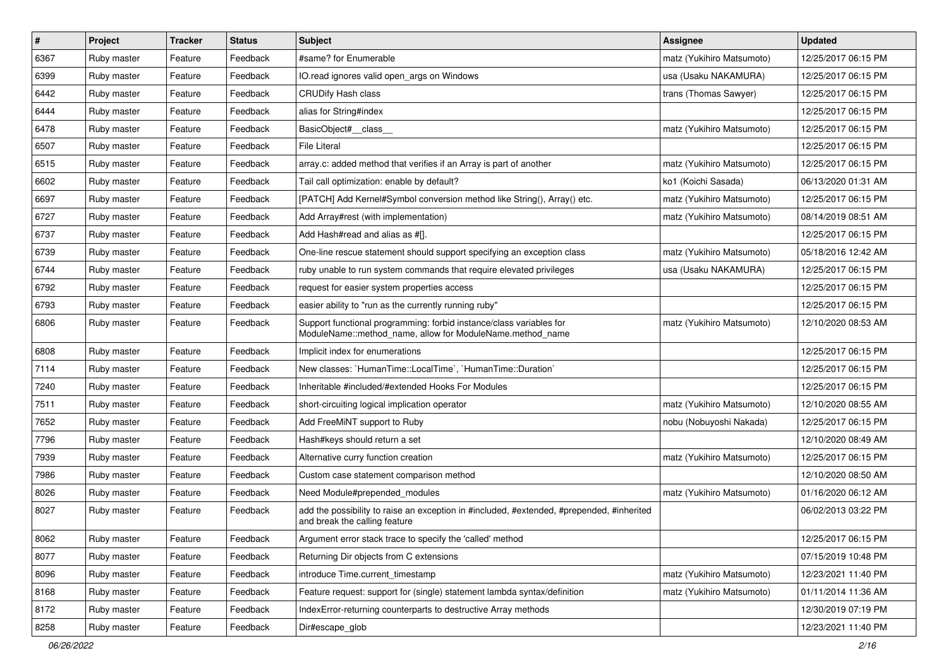| $\pmb{\#}$ | Project     | <b>Tracker</b> | <b>Status</b> | <b>Subject</b>                                                                                                                   | <b>Assignee</b>           | <b>Updated</b>      |
|------------|-------------|----------------|---------------|----------------------------------------------------------------------------------------------------------------------------------|---------------------------|---------------------|
| 6367       | Ruby master | Feature        | Feedback      | #same? for Enumerable                                                                                                            | matz (Yukihiro Matsumoto) | 12/25/2017 06:15 PM |
| 6399       | Ruby master | Feature        | Feedback      | IO.read ignores valid open args on Windows                                                                                       | usa (Usaku NAKAMURA)      | 12/25/2017 06:15 PM |
| 6442       | Ruby master | Feature        | Feedback      | <b>CRUDify Hash class</b>                                                                                                        | trans (Thomas Sawyer)     | 12/25/2017 06:15 PM |
| 6444       | Ruby master | Feature        | Feedback      | alias for String#index                                                                                                           |                           | 12/25/2017 06:15 PM |
| 6478       | Ruby master | Feature        | Feedback      | BasicObject#_class_                                                                                                              | matz (Yukihiro Matsumoto) | 12/25/2017 06:15 PM |
| 6507       | Ruby master | Feature        | Feedback      | <b>File Literal</b>                                                                                                              |                           | 12/25/2017 06:15 PM |
| 6515       | Ruby master | Feature        | Feedback      | array.c: added method that verifies if an Array is part of another                                                               | matz (Yukihiro Matsumoto) | 12/25/2017 06:15 PM |
| 6602       | Ruby master | Feature        | Feedback      | Tail call optimization: enable by default?                                                                                       | ko1 (Koichi Sasada)       | 06/13/2020 01:31 AM |
| 6697       | Ruby master | Feature        | Feedback      | [PATCH] Add Kernel#Symbol conversion method like String(), Array() etc.                                                          | matz (Yukihiro Matsumoto) | 12/25/2017 06:15 PM |
| 6727       | Ruby master | Feature        | Feedback      | Add Array#rest (with implementation)                                                                                             | matz (Yukihiro Matsumoto) | 08/14/2019 08:51 AM |
| 6737       | Ruby master | Feature        | Feedback      | Add Hash#read and alias as #[].                                                                                                  |                           | 12/25/2017 06:15 PM |
| 6739       | Ruby master | Feature        | Feedback      | One-line rescue statement should support specifying an exception class                                                           | matz (Yukihiro Matsumoto) | 05/18/2016 12:42 AM |
| 6744       | Ruby master | Feature        | Feedback      | ruby unable to run system commands that require elevated privileges                                                              | usa (Usaku NAKAMURA)      | 12/25/2017 06:15 PM |
| 6792       | Ruby master | Feature        | Feedback      | request for easier system properties access                                                                                      |                           | 12/25/2017 06:15 PM |
| 6793       | Ruby master | Feature        | Feedback      | easier ability to "run as the currently running ruby"                                                                            |                           | 12/25/2017 06:15 PM |
| 6806       | Ruby master | Feature        | Feedback      | Support functional programming: forbid instance/class variables for<br>ModuleName::method_name, allow for ModuleName.method_name | matz (Yukihiro Matsumoto) | 12/10/2020 08:53 AM |
| 6808       | Ruby master | Feature        | Feedback      | Implicit index for enumerations                                                                                                  |                           | 12/25/2017 06:15 PM |
| 7114       | Ruby master | Feature        | Feedback      | New classes: `HumanTime::LocalTime`, `HumanTime::Duration`                                                                       |                           | 12/25/2017 06:15 PM |
| 7240       | Ruby master | Feature        | Feedback      | Inheritable #included/#extended Hooks For Modules                                                                                |                           | 12/25/2017 06:15 PM |
| 7511       | Ruby master | Feature        | Feedback      | short-circuiting logical implication operator                                                                                    | matz (Yukihiro Matsumoto) | 12/10/2020 08:55 AM |
| 7652       | Ruby master | Feature        | Feedback      | Add FreeMiNT support to Ruby                                                                                                     | nobu (Nobuyoshi Nakada)   | 12/25/2017 06:15 PM |
| 7796       | Ruby master | Feature        | Feedback      | Hash#keys should return a set                                                                                                    |                           | 12/10/2020 08:49 AM |
| 7939       | Ruby master | Feature        | Feedback      | Alternative curry function creation                                                                                              | matz (Yukihiro Matsumoto) | 12/25/2017 06:15 PM |
| 7986       | Ruby master | Feature        | Feedback      | Custom case statement comparison method                                                                                          |                           | 12/10/2020 08:50 AM |
| 8026       | Ruby master | Feature        | Feedback      | Need Module#prepended_modules                                                                                                    | matz (Yukihiro Matsumoto) | 01/16/2020 06:12 AM |
| 8027       | Ruby master | Feature        | Feedback      | add the possibility to raise an exception in #included, #extended, #prepended, #inherited<br>and break the calling feature       |                           | 06/02/2013 03:22 PM |
| 8062       | Ruby master | Feature        | Feedback      | Argument error stack trace to specify the 'called' method                                                                        |                           | 12/25/2017 06:15 PM |
| 8077       | Ruby master | Feature        | Feedback      | Returning Dir objects from C extensions                                                                                          |                           | 07/15/2019 10:48 PM |
| 8096       | Ruby master | Feature        | Feedback      | introduce Time.current_timestamp                                                                                                 | matz (Yukihiro Matsumoto) | 12/23/2021 11:40 PM |
| 8168       | Ruby master | Feature        | Feedback      | Feature request: support for (single) statement lambda syntax/definition                                                         | matz (Yukihiro Matsumoto) | 01/11/2014 11:36 AM |
| 8172       | Ruby master | Feature        | Feedback      | IndexError-returning counterparts to destructive Array methods                                                                   |                           | 12/30/2019 07:19 PM |
| 8258       | Ruby master | Feature        | Feedback      | Dir#escape_glob                                                                                                                  |                           | 12/23/2021 11:40 PM |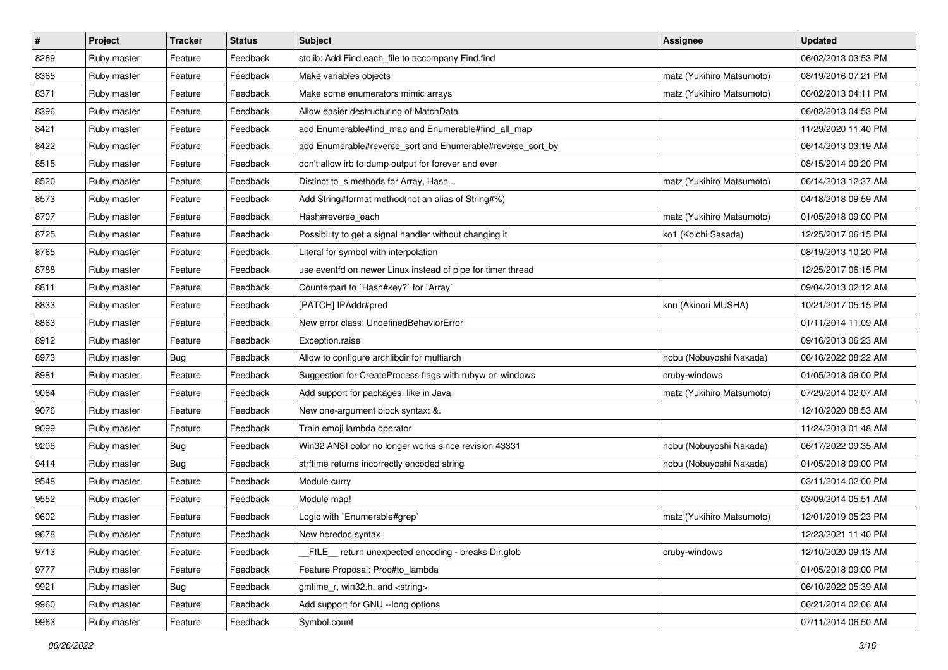| $\sharp$ | Project     | <b>Tracker</b> | <b>Status</b> | Subject                                                     | <b>Assignee</b>           | <b>Updated</b>      |
|----------|-------------|----------------|---------------|-------------------------------------------------------------|---------------------------|---------------------|
| 8269     | Ruby master | Feature        | Feedback      | stdlib: Add Find.each_file to accompany Find.find           |                           | 06/02/2013 03:53 PM |
| 8365     | Ruby master | Feature        | Feedback      | Make variables objects                                      | matz (Yukihiro Matsumoto) | 08/19/2016 07:21 PM |
| 8371     | Ruby master | Feature        | Feedback      | Make some enumerators mimic arrays                          | matz (Yukihiro Matsumoto) | 06/02/2013 04:11 PM |
| 8396     | Ruby master | Feature        | Feedback      | Allow easier destructuring of MatchData                     |                           | 06/02/2013 04:53 PM |
| 8421     | Ruby master | Feature        | Feedback      | add Enumerable#find_map and Enumerable#find_all_map         |                           | 11/29/2020 11:40 PM |
| 8422     | Ruby master | Feature        | Feedback      | add Enumerable#reverse_sort and Enumerable#reverse_sort_by  |                           | 06/14/2013 03:19 AM |
| 8515     | Ruby master | Feature        | Feedback      | don't allow irb to dump output for forever and ever         |                           | 08/15/2014 09:20 PM |
| 8520     | Ruby master | Feature        | Feedback      | Distinct to_s methods for Array, Hash                       | matz (Yukihiro Matsumoto) | 06/14/2013 12:37 AM |
| 8573     | Ruby master | Feature        | Feedback      | Add String#format method(not an alias of String#%)          |                           | 04/18/2018 09:59 AM |
| 8707     | Ruby master | Feature        | Feedback      | Hash#reverse_each                                           | matz (Yukihiro Matsumoto) | 01/05/2018 09:00 PM |
| 8725     | Ruby master | Feature        | Feedback      | Possibility to get a signal handler without changing it     | ko1 (Koichi Sasada)       | 12/25/2017 06:15 PM |
| 8765     | Ruby master | Feature        | Feedback      | Literal for symbol with interpolation                       |                           | 08/19/2013 10:20 PM |
| 8788     | Ruby master | Feature        | Feedback      | use eventfd on newer Linux instead of pipe for timer thread |                           | 12/25/2017 06:15 PM |
| 8811     | Ruby master | Feature        | Feedback      | Counterpart to `Hash#key?` for `Array`                      |                           | 09/04/2013 02:12 AM |
| 8833     | Ruby master | Feature        | Feedback      | [PATCH] IPAddr#pred                                         | knu (Akinori MUSHA)       | 10/21/2017 05:15 PM |
| 8863     | Ruby master | Feature        | Feedback      | New error class: UndefinedBehaviorError                     |                           | 01/11/2014 11:09 AM |
| 8912     | Ruby master | Feature        | Feedback      | Exception.raise                                             |                           | 09/16/2013 06:23 AM |
| 8973     | Ruby master | <b>Bug</b>     | Feedback      | Allow to configure archlibdir for multiarch                 | nobu (Nobuyoshi Nakada)   | 06/16/2022 08:22 AM |
| 8981     | Ruby master | Feature        | Feedback      | Suggestion for CreateProcess flags with rubyw on windows    | cruby-windows             | 01/05/2018 09:00 PM |
| 9064     | Ruby master | Feature        | Feedback      | Add support for packages, like in Java                      | matz (Yukihiro Matsumoto) | 07/29/2014 02:07 AM |
| 9076     | Ruby master | Feature        | Feedback      | New one-argument block syntax: &.                           |                           | 12/10/2020 08:53 AM |
| 9099     | Ruby master | Feature        | Feedback      | Train emoji lambda operator                                 |                           | 11/24/2013 01:48 AM |
| 9208     | Ruby master | <b>Bug</b>     | Feedback      | Win32 ANSI color no longer works since revision 43331       | nobu (Nobuyoshi Nakada)   | 06/17/2022 09:35 AM |
| 9414     | Ruby master | <b>Bug</b>     | Feedback      | strftime returns incorrectly encoded string                 | nobu (Nobuyoshi Nakada)   | 01/05/2018 09:00 PM |
| 9548     | Ruby master | Feature        | Feedback      | Module curry                                                |                           | 03/11/2014 02:00 PM |
| 9552     | Ruby master | Feature        | Feedback      | Module map!                                                 |                           | 03/09/2014 05:51 AM |
| 9602     | Ruby master | Feature        | Feedback      | Logic with `Enumerable#grep`                                | matz (Yukihiro Matsumoto) | 12/01/2019 05:23 PM |
| 9678     | Ruby master | Feature        | Feedback      | New heredoc syntax                                          |                           | 12/23/2021 11:40 PM |
| 9713     | Ruby master | Feature        | Feedback      | FILE return unexpected encoding - breaks Dir.glob           | cruby-windows             | 12/10/2020 09:13 AM |
| 9777     | Ruby master | Feature        | Feedback      | Feature Proposal: Proc#to_lambda                            |                           | 01/05/2018 09:00 PM |
| 9921     | Ruby master | <b>Bug</b>     | Feedback      | gmtime_r, win32.h, and <string></string>                    |                           | 06/10/2022 05:39 AM |
| 9960     | Ruby master | Feature        | Feedback      | Add support for GNU --long options                          |                           | 06/21/2014 02:06 AM |
| 9963     | Ruby master | Feature        | Feedback      | Symbol.count                                                |                           | 07/11/2014 06:50 AM |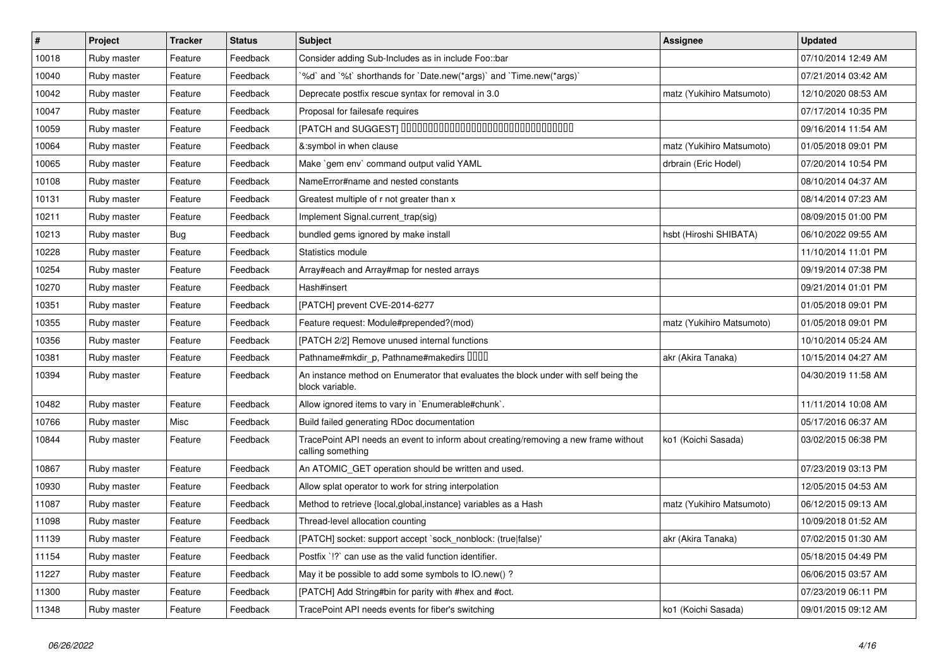| $\vert$ # | Project     | <b>Tracker</b> | <b>Status</b> | <b>Subject</b>                                                                                           | <b>Assignee</b>           | <b>Updated</b>      |
|-----------|-------------|----------------|---------------|----------------------------------------------------------------------------------------------------------|---------------------------|---------------------|
| 10018     | Ruby master | Feature        | Feedback      | Consider adding Sub-Includes as in include Foo::bar                                                      |                           | 07/10/2014 12:49 AM |
| 10040     | Ruby master | Feature        | Feedback      | '%d' and '%t' shorthands for 'Date.new(*args)' and 'Time.new(*args)'                                     |                           | 07/21/2014 03:42 AM |
| 10042     | Ruby master | Feature        | Feedback      | Deprecate postfix rescue syntax for removal in 3.0                                                       | matz (Yukihiro Matsumoto) | 12/10/2020 08:53 AM |
| 10047     | Ruby master | Feature        | Feedback      | Proposal for failesafe requires                                                                          |                           | 07/17/2014 10:35 PM |
| 10059     | Ruby master | Feature        | Feedback      | [PATCH and SUGGEST] 0000000000000000000000000000000                                                      |                           | 09/16/2014 11:54 AM |
| 10064     | Ruby master | Feature        | Feedback      | &:symbol in when clause                                                                                  | matz (Yukihiro Matsumoto) | 01/05/2018 09:01 PM |
| 10065     | Ruby master | Feature        | Feedback      | Make `gem env` command output valid YAML                                                                 | drbrain (Eric Hodel)      | 07/20/2014 10:54 PM |
| 10108     | Ruby master | Feature        | Feedback      | NameError#name and nested constants                                                                      |                           | 08/10/2014 04:37 AM |
| 10131     | Ruby master | Feature        | Feedback      | Greatest multiple of r not greater than x                                                                |                           | 08/14/2014 07:23 AM |
| 10211     | Ruby master | Feature        | Feedback      | Implement Signal.current_trap(sig)                                                                       |                           | 08/09/2015 01:00 PM |
| 10213     | Ruby master | Bug            | Feedback      | bundled gems ignored by make install                                                                     | hsbt (Hiroshi SHIBATA)    | 06/10/2022 09:55 AM |
| 10228     | Ruby master | Feature        | Feedback      | Statistics module                                                                                        |                           | 11/10/2014 11:01 PM |
| 10254     | Ruby master | Feature        | Feedback      | Array#each and Array#map for nested arrays                                                               |                           | 09/19/2014 07:38 PM |
| 10270     | Ruby master | Feature        | Feedback      | Hash#insert                                                                                              |                           | 09/21/2014 01:01 PM |
| 10351     | Ruby master | Feature        | Feedback      | [PATCH] prevent CVE-2014-6277                                                                            |                           | 01/05/2018 09:01 PM |
| 10355     | Ruby master | Feature        | Feedback      | Feature request: Module#prepended?(mod)                                                                  | matz (Yukihiro Matsumoto) | 01/05/2018 09:01 PM |
| 10356     | Ruby master | Feature        | Feedback      | [PATCH 2/2] Remove unused internal functions                                                             |                           | 10/10/2014 05:24 AM |
| 10381     | Ruby master | Feature        | Feedback      | Pathname#mkdir_p, Pathname#makedirs UUUU                                                                 | akr (Akira Tanaka)        | 10/15/2014 04:27 AM |
| 10394     | Ruby master | Feature        | Feedback      | An instance method on Enumerator that evaluates the block under with self being the<br>block variable.   |                           | 04/30/2019 11:58 AM |
| 10482     | Ruby master | Feature        | Feedback      | Allow ignored items to vary in `Enumerable#chunk`.                                                       |                           | 11/11/2014 10:08 AM |
| 10766     | Ruby master | Misc           | Feedback      | Build failed generating RDoc documentation                                                               |                           | 05/17/2016 06:37 AM |
| 10844     | Ruby master | Feature        | Feedback      | TracePoint API needs an event to inform about creating/removing a new frame without<br>calling something | ko1 (Koichi Sasada)       | 03/02/2015 06:38 PM |
| 10867     | Ruby master | Feature        | Feedback      | An ATOMIC_GET operation should be written and used.                                                      |                           | 07/23/2019 03:13 PM |
| 10930     | Ruby master | Feature        | Feedback      | Allow splat operator to work for string interpolation                                                    |                           | 12/05/2015 04:53 AM |
| 11087     | Ruby master | Feature        | Feedback      | Method to retrieve {local, global, instance} variables as a Hash                                         | matz (Yukihiro Matsumoto) | 06/12/2015 09:13 AM |
| 11098     | Ruby master | Feature        | Feedback      | Thread-level allocation counting                                                                         |                           | 10/09/2018 01:52 AM |
| 11139     | Ruby master | Feature        | Feedback      | [PATCH] socket: support accept `sock_nonblock: (true false)'                                             | akr (Akira Tanaka)        | 07/02/2015 01:30 AM |
| 11154     | Ruby master | Feature        | Feedback      | Postfix `!?` can use as the valid function identifier.                                                   |                           | 05/18/2015 04:49 PM |
| 11227     | Ruby master | Feature        | Feedback      | May it be possible to add some symbols to IO.new()?                                                      |                           | 06/06/2015 03:57 AM |
| 11300     | Ruby master | Feature        | Feedback      | [PATCH] Add String#bin for parity with #hex and #oct.                                                    |                           | 07/23/2019 06:11 PM |
| 11348     | Ruby master | Feature        | Feedback      | TracePoint API needs events for fiber's switching                                                        | ko1 (Koichi Sasada)       | 09/01/2015 09:12 AM |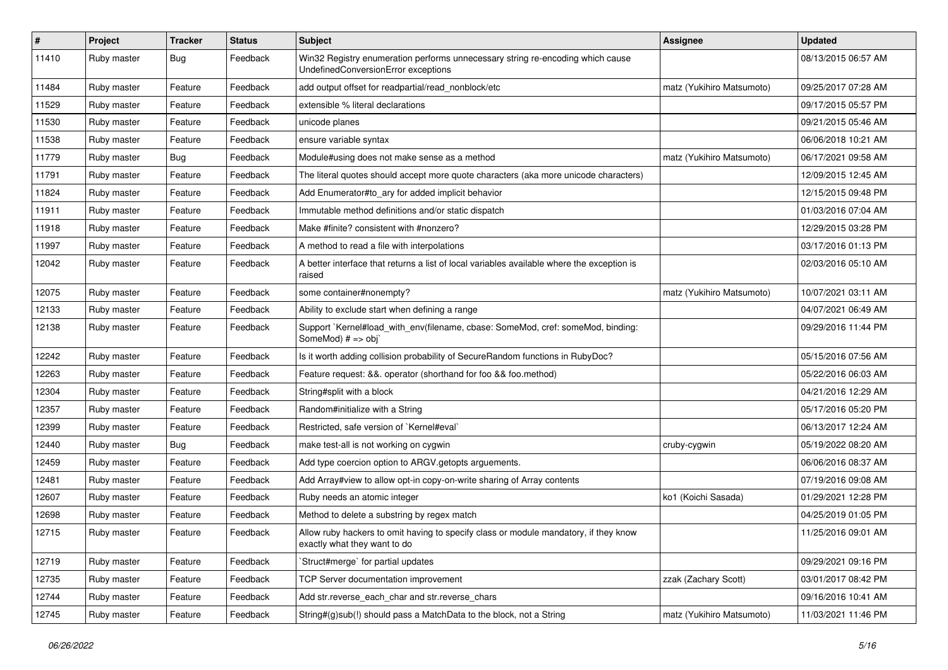| $\sharp$ | Project     | <b>Tracker</b> | <b>Status</b> | Subject                                                                                                               | Assignee                  | <b>Updated</b>      |
|----------|-------------|----------------|---------------|-----------------------------------------------------------------------------------------------------------------------|---------------------------|---------------------|
| 11410    | Ruby master | Bug            | Feedback      | Win32 Registry enumeration performs unnecessary string re-encoding which cause<br>UndefinedConversionError exceptions |                           | 08/13/2015 06:57 AM |
| 11484    | Ruby master | Feature        | Feedback      | add output offset for readpartial/read_nonblock/etc                                                                   | matz (Yukihiro Matsumoto) | 09/25/2017 07:28 AM |
| 11529    | Ruby master | Feature        | Feedback      | extensible % literal declarations                                                                                     |                           | 09/17/2015 05:57 PM |
| 11530    | Ruby master | Feature        | Feedback      | unicode planes                                                                                                        |                           | 09/21/2015 05:46 AM |
| 11538    | Ruby master | Feature        | Feedback      | ensure variable syntax                                                                                                |                           | 06/06/2018 10:21 AM |
| 11779    | Ruby master | <b>Bug</b>     | Feedback      | Module#using does not make sense as a method                                                                          | matz (Yukihiro Matsumoto) | 06/17/2021 09:58 AM |
| 11791    | Ruby master | Feature        | Feedback      | The literal quotes should accept more quote characters (aka more unicode characters)                                  |                           | 12/09/2015 12:45 AM |
| 11824    | Ruby master | Feature        | Feedback      | Add Enumerator#to_ary for added implicit behavior                                                                     |                           | 12/15/2015 09:48 PM |
| 11911    | Ruby master | Feature        | Feedback      | Immutable method definitions and/or static dispatch                                                                   |                           | 01/03/2016 07:04 AM |
| 11918    | Ruby master | Feature        | Feedback      | Make #finite? consistent with #nonzero?                                                                               |                           | 12/29/2015 03:28 PM |
| 11997    | Ruby master | Feature        | Feedback      | A method to read a file with interpolations                                                                           |                           | 03/17/2016 01:13 PM |
| 12042    | Ruby master | Feature        | Feedback      | A better interface that returns a list of local variables available where the exception is<br>raised                  |                           | 02/03/2016 05:10 AM |
| 12075    | Ruby master | Feature        | Feedback      | some container#nonempty?                                                                                              | matz (Yukihiro Matsumoto) | 10/07/2021 03:11 AM |
| 12133    | Ruby master | Feature        | Feedback      | Ability to exclude start when defining a range                                                                        |                           | 04/07/2021 06:49 AM |
| 12138    | Ruby master | Feature        | Feedback      | Support `Kernel#load_with_env(filename, cbase: SomeMod, cref: someMod, binding:<br>SomeMod) # => obj`                 |                           | 09/29/2016 11:44 PM |
| 12242    | Ruby master | Feature        | Feedback      | Is it worth adding collision probability of SecureRandom functions in RubyDoc?                                        |                           | 05/15/2016 07:56 AM |
| 12263    | Ruby master | Feature        | Feedback      | Feature request: &&. operator (shorthand for foo && foo.method)                                                       |                           | 05/22/2016 06:03 AM |
| 12304    | Ruby master | Feature        | Feedback      | String#split with a block                                                                                             |                           | 04/21/2016 12:29 AM |
| 12357    | Ruby master | Feature        | Feedback      | Random#initialize with a String                                                                                       |                           | 05/17/2016 05:20 PM |
| 12399    | Ruby master | Feature        | Feedback      | Restricted, safe version of `Kernel#eval`                                                                             |                           | 06/13/2017 12:24 AM |
| 12440    | Ruby master | Bug            | Feedback      | make test-all is not working on cygwin                                                                                | cruby-cygwin              | 05/19/2022 08:20 AM |
| 12459    | Ruby master | Feature        | Feedback      | Add type coercion option to ARGV getopts arguements.                                                                  |                           | 06/06/2016 08:37 AM |
| 12481    | Ruby master | Feature        | Feedback      | Add Array#view to allow opt-in copy-on-write sharing of Array contents                                                |                           | 07/19/2016 09:08 AM |
| 12607    | Ruby master | Feature        | Feedback      | Ruby needs an atomic integer                                                                                          | ko1 (Koichi Sasada)       | 01/29/2021 12:28 PM |
| 12698    | Ruby master | Feature        | Feedback      | Method to delete a substring by regex match                                                                           |                           | 04/25/2019 01:05 PM |
| 12715    | Ruby master | Feature        | Feedback      | Allow ruby hackers to omit having to specify class or module mandatory, if they know<br>exactly what they want to do  |                           | 11/25/2016 09:01 AM |
| 12719    | Ruby master | Feature        | Feedback      | Struct#merge' for partial updates                                                                                     |                           | 09/29/2021 09:16 PM |
| 12735    | Ruby master | Feature        | Feedback      | TCP Server documentation improvement                                                                                  | zzak (Zachary Scott)      | 03/01/2017 08:42 PM |
| 12744    | Ruby master | Feature        | Feedback      | Add str.reverse_each_char and str.reverse_chars                                                                       |                           | 09/16/2016 10:41 AM |
| 12745    | Ruby master | Feature        | Feedback      | String#(g)sub(!) should pass a MatchData to the block, not a String                                                   | matz (Yukihiro Matsumoto) | 11/03/2021 11:46 PM |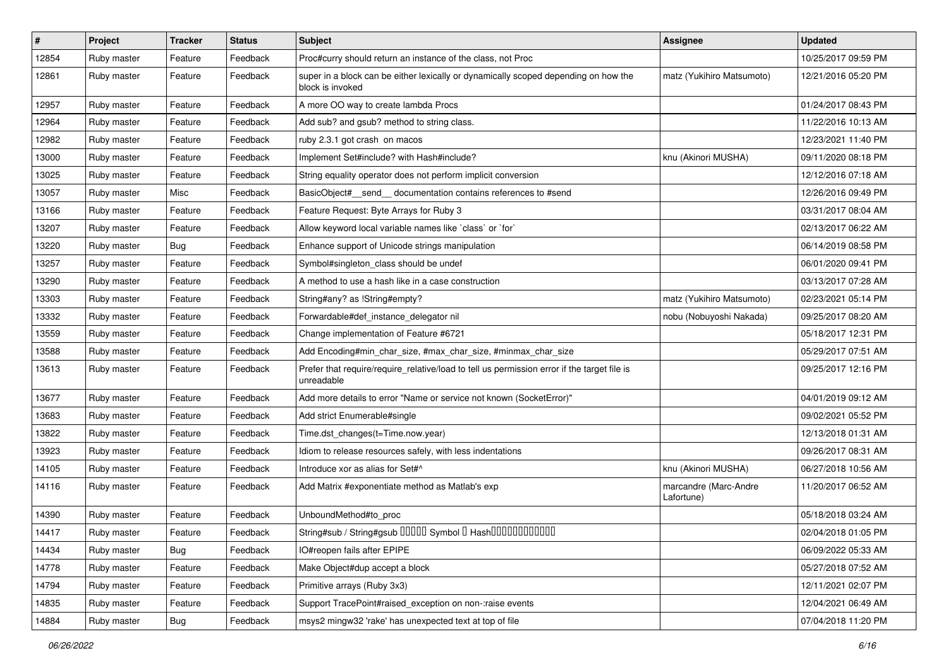| #     | Project     | <b>Tracker</b> | <b>Status</b> | Subject                                                                                                   | <b>Assignee</b>                     | <b>Updated</b>      |
|-------|-------------|----------------|---------------|-----------------------------------------------------------------------------------------------------------|-------------------------------------|---------------------|
| 12854 | Ruby master | Feature        | Feedback      | Proc#curry should return an instance of the class, not Proc                                               |                                     | 10/25/2017 09:59 PM |
| 12861 | Ruby master | Feature        | Feedback      | super in a block can be either lexically or dynamically scoped depending on how the<br>block is invoked   | matz (Yukihiro Matsumoto)           | 12/21/2016 05:20 PM |
| 12957 | Ruby master | Feature        | Feedback      | A more OO way to create lambda Procs                                                                      |                                     | 01/24/2017 08:43 PM |
| 12964 | Ruby master | Feature        | Feedback      | Add sub? and gsub? method to string class.                                                                |                                     | 11/22/2016 10:13 AM |
| 12982 | Ruby master | Feature        | Feedback      | ruby 2.3.1 got crash on macos                                                                             |                                     | 12/23/2021 11:40 PM |
| 13000 | Ruby master | Feature        | Feedback      | Implement Set#include? with Hash#include?                                                                 | knu (Akinori MUSHA)                 | 09/11/2020 08:18 PM |
| 13025 | Ruby master | Feature        | Feedback      | String equality operator does not perform implicit conversion                                             |                                     | 12/12/2016 07:18 AM |
| 13057 | Ruby master | Misc           | Feedback      | BasicObject#_send_ documentation contains references to #send                                             |                                     | 12/26/2016 09:49 PM |
| 13166 | Ruby master | Feature        | Feedback      | Feature Request: Byte Arrays for Ruby 3                                                                   |                                     | 03/31/2017 08:04 AM |
| 13207 | Ruby master | Feature        | Feedback      | Allow keyword local variable names like `class` or `for`                                                  |                                     | 02/13/2017 06:22 AM |
| 13220 | Ruby master | Bug            | Feedback      | Enhance support of Unicode strings manipulation                                                           |                                     | 06/14/2019 08:58 PM |
| 13257 | Ruby master | Feature        | Feedback      | Symbol#singleton_class should be undef                                                                    |                                     | 06/01/2020 09:41 PM |
| 13290 | Ruby master | Feature        | Feedback      | A method to use a hash like in a case construction                                                        |                                     | 03/13/2017 07:28 AM |
| 13303 | Ruby master | Feature        | Feedback      | String#any? as !String#empty?                                                                             | matz (Yukihiro Matsumoto)           | 02/23/2021 05:14 PM |
| 13332 | Ruby master | Feature        | Feedback      | Forwardable#def_instance_delegator nil                                                                    | nobu (Nobuyoshi Nakada)             | 09/25/2017 08:20 AM |
| 13559 | Ruby master | Feature        | Feedback      | Change implementation of Feature #6721                                                                    |                                     | 05/18/2017 12:31 PM |
| 13588 | Ruby master | Feature        | Feedback      | Add Encoding#min_char_size, #max_char_size, #minmax_char_size                                             |                                     | 05/29/2017 07:51 AM |
| 13613 | Ruby master | Feature        | Feedback      | Prefer that require/require_relative/load to tell us permission error if the target file is<br>unreadable |                                     | 09/25/2017 12:16 PM |
| 13677 | Ruby master | Feature        | Feedback      | Add more details to error "Name or service not known (SocketError)"                                       |                                     | 04/01/2019 09:12 AM |
| 13683 | Ruby master | Feature        | Feedback      | Add strict Enumerable#single                                                                              |                                     | 09/02/2021 05:52 PM |
| 13822 | Ruby master | Feature        | Feedback      | Time.dst_changes(t=Time.now.year)                                                                         |                                     | 12/13/2018 01:31 AM |
| 13923 | Ruby master | Feature        | Feedback      | Idiom to release resources safely, with less indentations                                                 |                                     | 09/26/2017 08:31 AM |
| 14105 | Ruby master | Feature        | Feedback      | Introduce xor as alias for Set#^                                                                          | knu (Akinori MUSHA)                 | 06/27/2018 10:56 AM |
| 14116 | Ruby master | Feature        | Feedback      | Add Matrix #exponentiate method as Matlab's exp                                                           | marcandre (Marc-Andre<br>Lafortune) | 11/20/2017 06:52 AM |
| 14390 | Ruby master | Feature        | Feedback      | UnboundMethod#to_proc                                                                                     |                                     | 05/18/2018 03:24 AM |
| 14417 | Ruby master | Feature        | Feedback      | String#sub / String#gsub 00000 Symbol 0 Hash000000000000                                                  |                                     | 02/04/2018 01:05 PM |
| 14434 | Ruby master | <b>Bug</b>     | Feedback      | IO#reopen fails after EPIPE                                                                               |                                     | 06/09/2022 05:33 AM |
| 14778 | Ruby master | Feature        | Feedback      | Make Object#dup accept a block                                                                            |                                     | 05/27/2018 07:52 AM |
| 14794 | Ruby master | Feature        | Feedback      | Primitive arrays (Ruby 3x3)                                                                               |                                     | 12/11/2021 02:07 PM |
| 14835 | Ruby master | Feature        | Feedback      | Support TracePoint#raised_exception on non-:raise events                                                  |                                     | 12/04/2021 06:49 AM |
| 14884 | Ruby master | Bug            | Feedback      | msys2 mingw32 'rake' has unexpected text at top of file                                                   |                                     | 07/04/2018 11:20 PM |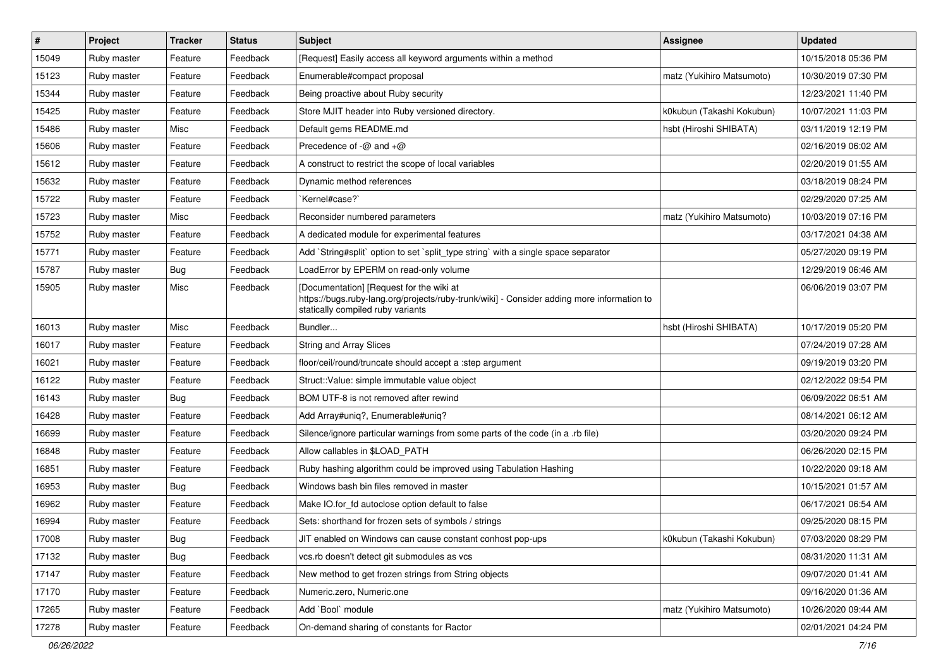| $\vert$ # | Project     | <b>Tracker</b> | <b>Status</b> | <b>Subject</b>                                                                                                                                                              | Assignee                  | <b>Updated</b>      |
|-----------|-------------|----------------|---------------|-----------------------------------------------------------------------------------------------------------------------------------------------------------------------------|---------------------------|---------------------|
| 15049     | Ruby master | Feature        | Feedback      | [Request] Easily access all keyword arguments within a method                                                                                                               |                           | 10/15/2018 05:36 PM |
| 15123     | Ruby master | Feature        | Feedback      | Enumerable#compact proposal                                                                                                                                                 | matz (Yukihiro Matsumoto) | 10/30/2019 07:30 PM |
| 15344     | Ruby master | Feature        | Feedback      | Being proactive about Ruby security                                                                                                                                         |                           | 12/23/2021 11:40 PM |
| 15425     | Ruby master | Feature        | Feedback      | Store MJIT header into Ruby versioned directory.                                                                                                                            | k0kubun (Takashi Kokubun) | 10/07/2021 11:03 PM |
| 15486     | Ruby master | Misc           | Feedback      | Default gems README.md                                                                                                                                                      | hsbt (Hiroshi SHIBATA)    | 03/11/2019 12:19 PM |
| 15606     | Ruby master | Feature        | Feedback      | Precedence of -@ and +@                                                                                                                                                     |                           | 02/16/2019 06:02 AM |
| 15612     | Ruby master | Feature        | Feedback      | A construct to restrict the scope of local variables                                                                                                                        |                           | 02/20/2019 01:55 AM |
| 15632     | Ruby master | Feature        | Feedback      | Dynamic method references                                                                                                                                                   |                           | 03/18/2019 08:24 PM |
| 15722     | Ruby master | Feature        | Feedback      | `Kernel#case?`                                                                                                                                                              |                           | 02/29/2020 07:25 AM |
| 15723     | Ruby master | Misc           | Feedback      | Reconsider numbered parameters                                                                                                                                              | matz (Yukihiro Matsumoto) | 10/03/2019 07:16 PM |
| 15752     | Ruby master | Feature        | Feedback      | A dedicated module for experimental features                                                                                                                                |                           | 03/17/2021 04:38 AM |
| 15771     | Ruby master | Feature        | Feedback      | Add `String#split` option to set `split_type string` with a single space separator                                                                                          |                           | 05/27/2020 09:19 PM |
| 15787     | Ruby master | <b>Bug</b>     | Feedback      | LoadError by EPERM on read-only volume                                                                                                                                      |                           | 12/29/2019 06:46 AM |
| 15905     | Ruby master | Misc           | Feedback      | [Documentation] [Request for the wiki at<br>https://bugs.ruby-lang.org/projects/ruby-trunk/wiki] - Consider adding more information to<br>statically compiled ruby variants |                           | 06/06/2019 03:07 PM |
| 16013     | Ruby master | Misc           | Feedback      | Bundler                                                                                                                                                                     | hsbt (Hiroshi SHIBATA)    | 10/17/2019 05:20 PM |
| 16017     | Ruby master | Feature        | Feedback      | <b>String and Array Slices</b>                                                                                                                                              |                           | 07/24/2019 07:28 AM |
| 16021     | Ruby master | Feature        | Feedback      | floor/ceil/round/truncate should accept a :step argument                                                                                                                    |                           | 09/19/2019 03:20 PM |
| 16122     | Ruby master | Feature        | Feedback      | Struct::Value: simple immutable value object                                                                                                                                |                           | 02/12/2022 09:54 PM |
| 16143     | Ruby master | <b>Bug</b>     | Feedback      | BOM UTF-8 is not removed after rewind                                                                                                                                       |                           | 06/09/2022 06:51 AM |
| 16428     | Ruby master | Feature        | Feedback      | Add Array#uniq?, Enumerable#uniq?                                                                                                                                           |                           | 08/14/2021 06:12 AM |
| 16699     | Ruby master | Feature        | Feedback      | Silence/ignore particular warnings from some parts of the code (in a .rb file)                                                                                              |                           | 03/20/2020 09:24 PM |
| 16848     | Ruby master | Feature        | Feedback      | Allow callables in \$LOAD_PATH                                                                                                                                              |                           | 06/26/2020 02:15 PM |
| 16851     | Ruby master | Feature        | Feedback      | Ruby hashing algorithm could be improved using Tabulation Hashing                                                                                                           |                           | 10/22/2020 09:18 AM |
| 16953     | Ruby master | Bug            | Feedback      | Windows bash bin files removed in master                                                                                                                                    |                           | 10/15/2021 01:57 AM |
| 16962     | Ruby master | Feature        | Feedback      | Make IO.for_fd autoclose option default to false                                                                                                                            |                           | 06/17/2021 06:54 AM |
| 16994     | Ruby master | Feature        | Feedback      | Sets: shorthand for frozen sets of symbols / strings                                                                                                                        |                           | 09/25/2020 08:15 PM |
| 17008     | Ruby master | <b>Bug</b>     | Feedback      | JIT enabled on Windows can cause constant conhost pop-ups                                                                                                                   | k0kubun (Takashi Kokubun) | 07/03/2020 08:29 PM |
| 17132     | Ruby master | <b>Bug</b>     | Feedback      | vcs.rb doesn't detect git submodules as vcs                                                                                                                                 |                           | 08/31/2020 11:31 AM |
| 17147     | Ruby master | Feature        | Feedback      | New method to get frozen strings from String objects                                                                                                                        |                           | 09/07/2020 01:41 AM |
| 17170     | Ruby master | Feature        | Feedback      | Numeric.zero, Numeric.one                                                                                                                                                   |                           | 09/16/2020 01:36 AM |
| 17265     | Ruby master | Feature        | Feedback      | Add `Bool` module                                                                                                                                                           | matz (Yukihiro Matsumoto) | 10/26/2020 09:44 AM |
| 17278     | Ruby master | Feature        | Feedback      | On-demand sharing of constants for Ractor                                                                                                                                   |                           | 02/01/2021 04:24 PM |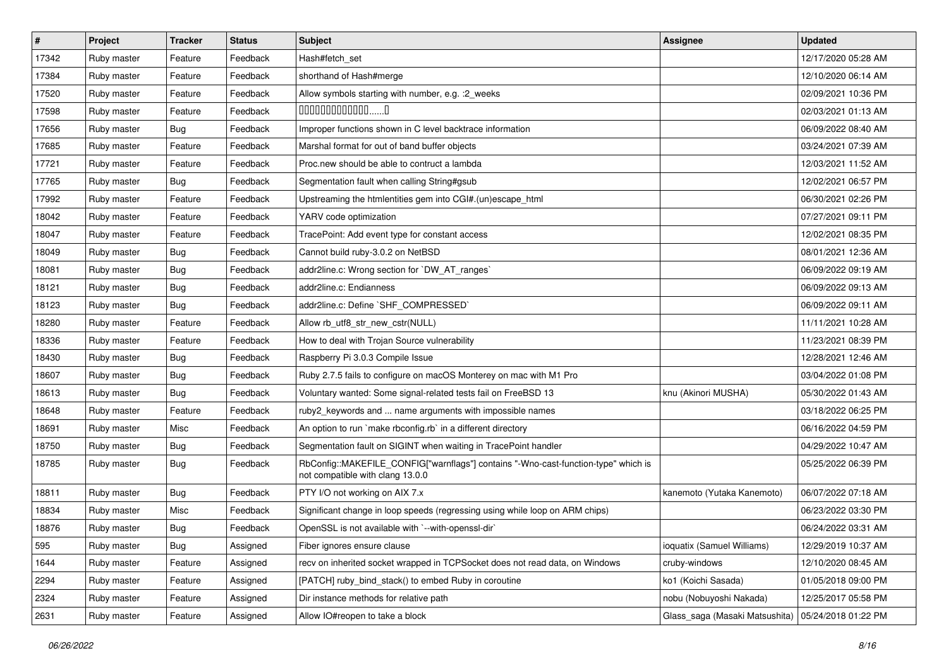| $\sharp$ | <b>Project</b> | <b>Tracker</b> | <b>Status</b> | Subject                                                                                                                | Assignee                       | <b>Updated</b>      |
|----------|----------------|----------------|---------------|------------------------------------------------------------------------------------------------------------------------|--------------------------------|---------------------|
| 17342    | Ruby master    | Feature        | Feedback      | Hash#fetch_set                                                                                                         |                                | 12/17/2020 05:28 AM |
| 17384    | Ruby master    | Feature        | Feedback      | shorthand of Hash#merge                                                                                                |                                | 12/10/2020 06:14 AM |
| 17520    | Ruby master    | Feature        | Feedback      | Allow symbols starting with number, e.g. : 2_weeks                                                                     |                                | 02/09/2021 10:36 PM |
| 17598    | Ruby master    | Feature        | Feedback      | $0000000000000010$                                                                                                     |                                | 02/03/2021 01:13 AM |
| 17656    | Ruby master    | <b>Bug</b>     | Feedback      | Improper functions shown in C level backtrace information                                                              |                                | 06/09/2022 08:40 AM |
| 17685    | Ruby master    | Feature        | Feedback      | Marshal format for out of band buffer objects                                                                          |                                | 03/24/2021 07:39 AM |
| 17721    | Ruby master    | Feature        | Feedback      | Proc.new should be able to contruct a lambda                                                                           |                                | 12/03/2021 11:52 AM |
| 17765    | Ruby master    | Bug            | Feedback      | Segmentation fault when calling String#gsub                                                                            |                                | 12/02/2021 06:57 PM |
| 17992    | Ruby master    | Feature        | Feedback      | Upstreaming the htmlentities gem into CGI#.(un)escape_html                                                             |                                | 06/30/2021 02:26 PM |
| 18042    | Ruby master    | Feature        | Feedback      | YARV code optimization                                                                                                 |                                | 07/27/2021 09:11 PM |
| 18047    | Ruby master    | Feature        | Feedback      | TracePoint: Add event type for constant access                                                                         |                                | 12/02/2021 08:35 PM |
| 18049    | Ruby master    | <b>Bug</b>     | Feedback      | Cannot build ruby-3.0.2 on NetBSD                                                                                      |                                | 08/01/2021 12:36 AM |
| 18081    | Ruby master    | <b>Bug</b>     | Feedback      | addr2line.c: Wrong section for `DW_AT_ranges`                                                                          |                                | 06/09/2022 09:19 AM |
| 18121    | Ruby master    | <b>Bug</b>     | Feedback      | addr2line.c: Endianness                                                                                                |                                | 06/09/2022 09:13 AM |
| 18123    | Ruby master    | Bug            | Feedback      | addr2line.c: Define `SHF_COMPRESSED`                                                                                   |                                | 06/09/2022 09:11 AM |
| 18280    | Ruby master    | Feature        | Feedback      | Allow rb utf8 str new cstr(NULL)                                                                                       |                                | 11/11/2021 10:28 AM |
| 18336    | Ruby master    | Feature        | Feedback      | How to deal with Trojan Source vulnerability                                                                           |                                | 11/23/2021 08:39 PM |
| 18430    | Ruby master    | <b>Bug</b>     | Feedback      | Raspberry Pi 3.0.3 Compile Issue                                                                                       |                                | 12/28/2021 12:46 AM |
| 18607    | Ruby master    | <b>Bug</b>     | Feedback      | Ruby 2.7.5 fails to configure on macOS Monterey on mac with M1 Pro                                                     |                                | 03/04/2022 01:08 PM |
| 18613    | Ruby master    | Bug            | Feedback      | Voluntary wanted: Some signal-related tests fail on FreeBSD 13                                                         | knu (Akinori MUSHA)            | 05/30/2022 01:43 AM |
| 18648    | Ruby master    | Feature        | Feedback      | ruby2_keywords and  name arguments with impossible names                                                               |                                | 03/18/2022 06:25 PM |
| 18691    | Ruby master    | Misc           | Feedback      | An option to run `make rbconfig.rb` in a different directory                                                           |                                | 06/16/2022 04:59 PM |
| 18750    | Ruby master    | <b>Bug</b>     | Feedback      | Segmentation fault on SIGINT when waiting in TracePoint handler                                                        |                                | 04/29/2022 10:47 AM |
| 18785    | Ruby master    | <b>Bug</b>     | Feedback      | RbConfig::MAKEFILE_CONFIG["warnflags"] contains "-Wno-cast-function-type" which is<br>not compatible with clang 13.0.0 |                                | 05/25/2022 06:39 PM |
| 18811    | Ruby master    | <b>Bug</b>     | Feedback      | PTY I/O not working on AIX 7.x                                                                                         | kanemoto (Yutaka Kanemoto)     | 06/07/2022 07:18 AM |
| 18834    | Ruby master    | Misc           | Feedback      | Significant change in loop speeds (regressing using while loop on ARM chips)                                           |                                | 06/23/2022 03:30 PM |
| 18876    | Ruby master    | Bug            | Feedback      | OpenSSL is not available with `--with-openssl-dir`                                                                     |                                | 06/24/2022 03:31 AM |
| 595      | Ruby master    | Bug            | Assigned      | Fiber ignores ensure clause                                                                                            | ioquatix (Samuel Williams)     | 12/29/2019 10:37 AM |
| 1644     | Ruby master    | Feature        | Assigned      | recv on inherited socket wrapped in TCPSocket does not read data, on Windows                                           | cruby-windows                  | 12/10/2020 08:45 AM |
| 2294     | Ruby master    | Feature        | Assigned      | [PATCH] ruby_bind_stack() to embed Ruby in coroutine                                                                   | ko1 (Koichi Sasada)            | 01/05/2018 09:00 PM |
| 2324     | Ruby master    | Feature        | Assigned      | Dir instance methods for relative path                                                                                 | nobu (Nobuyoshi Nakada)        | 12/25/2017 05:58 PM |
| 2631     | Ruby master    | Feature        | Assigned      | Allow IO#reopen to take a block                                                                                        | Glass_saga (Masaki Matsushita) | 05/24/2018 01:22 PM |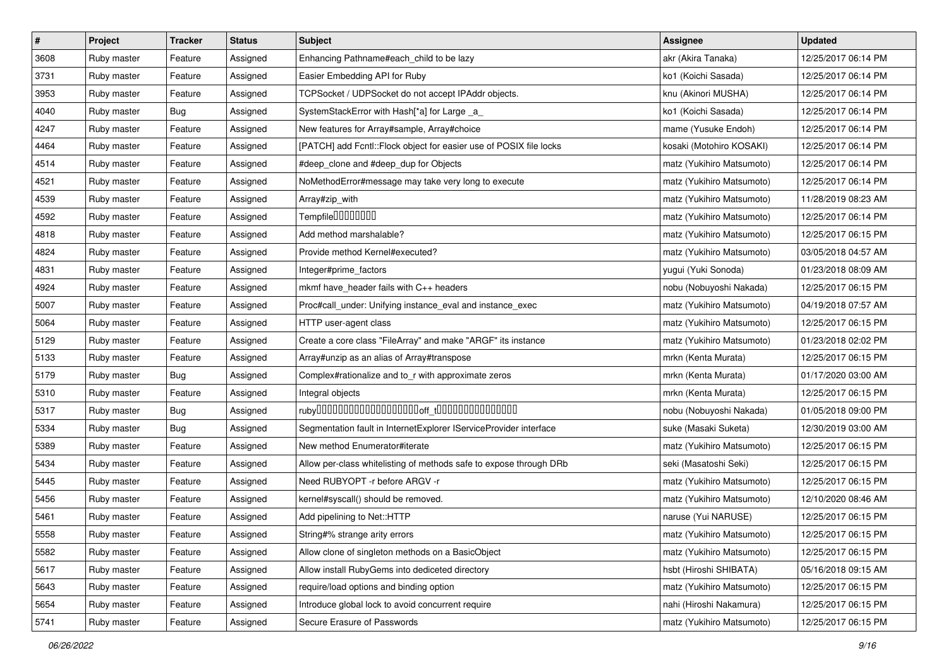| $\vert$ # | Project     | <b>Tracker</b> | <b>Status</b> | Subject                                                             | <b>Assignee</b>           | <b>Updated</b>      |
|-----------|-------------|----------------|---------------|---------------------------------------------------------------------|---------------------------|---------------------|
| 3608      | Ruby master | Feature        | Assigned      | Enhancing Pathname#each_child to be lazy                            | akr (Akira Tanaka)        | 12/25/2017 06:14 PM |
| 3731      | Ruby master | Feature        | Assigned      | Easier Embedding API for Ruby                                       | ko1 (Koichi Sasada)       | 12/25/2017 06:14 PM |
| 3953      | Ruby master | Feature        | Assigned      | TCPSocket / UDPSocket do not accept IPAddr objects.                 | knu (Akinori MUSHA)       | 12/25/2017 06:14 PM |
| 4040      | Ruby master | Bug            | Assigned      | SystemStackError with Hash[*a] for Large _a_                        | ko1 (Koichi Sasada)       | 12/25/2017 06:14 PM |
| 4247      | Ruby master | Feature        | Assigned      | New features for Array#sample, Array#choice                         | mame (Yusuke Endoh)       | 12/25/2017 06:14 PM |
| 4464      | Ruby master | Feature        | Assigned      | [PATCH] add Fcntl:: Flock object for easier use of POSIX file locks | kosaki (Motohiro KOSAKI)  | 12/25/2017 06:14 PM |
| 4514      | Ruby master | Feature        | Assigned      | #deep_clone and #deep_dup for Objects                               | matz (Yukihiro Matsumoto) | 12/25/2017 06:14 PM |
| 4521      | Ruby master | Feature        | Assigned      | NoMethodError#message may take very long to execute                 | matz (Yukihiro Matsumoto) | 12/25/2017 06:14 PM |
| 4539      | Ruby master | Feature        | Assigned      | Array#zip_with                                                      | matz (Yukihiro Matsumoto) | 11/28/2019 08:23 AM |
| 4592      | Ruby master | Feature        | Assigned      | Tempfile0000000                                                     | matz (Yukihiro Matsumoto) | 12/25/2017 06:14 PM |
| 4818      | Ruby master | Feature        | Assigned      | Add method marshalable?                                             | matz (Yukihiro Matsumoto) | 12/25/2017 06:15 PM |
| 4824      | Ruby master | Feature        | Assigned      | Provide method Kernel#executed?                                     | matz (Yukihiro Matsumoto) | 03/05/2018 04:57 AM |
| 4831      | Ruby master | Feature        | Assigned      | Integer#prime_factors                                               | yugui (Yuki Sonoda)       | 01/23/2018 08:09 AM |
| 4924      | Ruby master | Feature        | Assigned      | mkmf have_header fails with C++ headers                             | nobu (Nobuyoshi Nakada)   | 12/25/2017 06:15 PM |
| 5007      | Ruby master | Feature        | Assigned      | Proc#call_under: Unifying instance_eval and instance_exec           | matz (Yukihiro Matsumoto) | 04/19/2018 07:57 AM |
| 5064      | Ruby master | Feature        | Assigned      | HTTP user-agent class                                               | matz (Yukihiro Matsumoto) | 12/25/2017 06:15 PM |
| 5129      | Ruby master | Feature        | Assigned      | Create a core class "FileArray" and make "ARGF" its instance        | matz (Yukihiro Matsumoto) | 01/23/2018 02:02 PM |
| 5133      | Ruby master | Feature        | Assigned      | Array#unzip as an alias of Array#transpose                          | mrkn (Kenta Murata)       | 12/25/2017 06:15 PM |
| 5179      | Ruby master | Bug            | Assigned      | Complex#rationalize and to_r with approximate zeros                 | mrkn (Kenta Murata)       | 01/17/2020 03:00 AM |
| 5310      | Ruby master | Feature        | Assigned      | Integral objects                                                    | mrkn (Kenta Murata)       | 12/25/2017 06:15 PM |
| 5317      | Ruby master | Bug            | Assigned      |                                                                     | nobu (Nobuyoshi Nakada)   | 01/05/2018 09:00 PM |
| 5334      | Ruby master | Bug            | Assigned      | Segmentation fault in InternetExplorer IServiceProvider interface   | suke (Masaki Suketa)      | 12/30/2019 03:00 AM |
| 5389      | Ruby master | Feature        | Assigned      | New method Enumerator#iterate                                       | matz (Yukihiro Matsumoto) | 12/25/2017 06:15 PM |
| 5434      | Ruby master | Feature        | Assigned      | Allow per-class whitelisting of methods safe to expose through DRb  | seki (Masatoshi Seki)     | 12/25/2017 06:15 PM |
| 5445      | Ruby master | Feature        | Assigned      | Need RUBYOPT -r before ARGV -r                                      | matz (Yukihiro Matsumoto) | 12/25/2017 06:15 PM |
| 5456      | Ruby master | Feature        | Assigned      | kernel#syscall() should be removed.                                 | matz (Yukihiro Matsumoto) | 12/10/2020 08:46 AM |
| 5461      | Ruby master | Feature        | Assigned      | Add pipelining to Net::HTTP                                         | naruse (Yui NARUSE)       | 12/25/2017 06:15 PM |
| 5558      | Ruby master | Feature        | Assigned      | String#% strange arity errors                                       | matz (Yukihiro Matsumoto) | 12/25/2017 06:15 PM |
| 5582      | Ruby master | Feature        | Assigned      | Allow clone of singleton methods on a BasicObject                   | matz (Yukihiro Matsumoto) | 12/25/2017 06:15 PM |
| 5617      | Ruby master | Feature        | Assigned      | Allow install RubyGems into dediceted directory                     | hsbt (Hiroshi SHIBATA)    | 05/16/2018 09:15 AM |
| 5643      | Ruby master | Feature        | Assigned      | require/load options and binding option                             | matz (Yukihiro Matsumoto) | 12/25/2017 06:15 PM |
| 5654      | Ruby master | Feature        | Assigned      | Introduce global lock to avoid concurrent require                   | nahi (Hiroshi Nakamura)   | 12/25/2017 06:15 PM |
| 5741      | Ruby master | Feature        | Assigned      | Secure Erasure of Passwords                                         | matz (Yukihiro Matsumoto) | 12/25/2017 06:15 PM |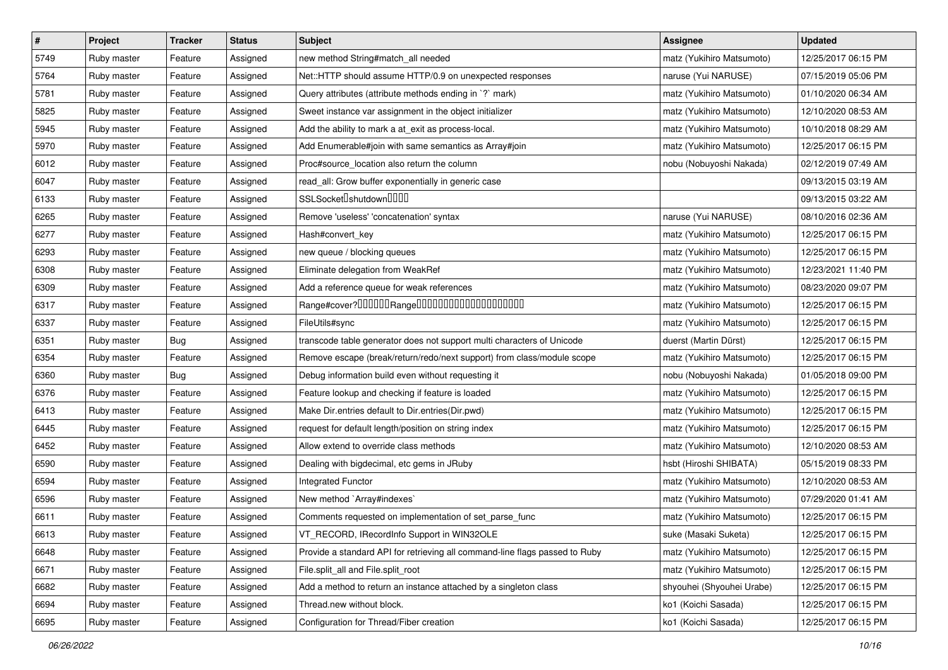| $\vert$ # | Project     | <b>Tracker</b> | <b>Status</b> | <b>Subject</b>                                                              | <b>Assignee</b>           | <b>Updated</b>      |
|-----------|-------------|----------------|---------------|-----------------------------------------------------------------------------|---------------------------|---------------------|
| 5749      | Ruby master | Feature        | Assigned      | new method String#match_all needed                                          | matz (Yukihiro Matsumoto) | 12/25/2017 06:15 PM |
| 5764      | Ruby master | Feature        | Assigned      | Net::HTTP should assume HTTP/0.9 on unexpected responses                    | naruse (Yui NARUSE)       | 07/15/2019 05:06 PM |
| 5781      | Ruby master | Feature        | Assigned      | Query attributes (attribute methods ending in `?` mark)                     | matz (Yukihiro Matsumoto) | 01/10/2020 06:34 AM |
| 5825      | Ruby master | Feature        | Assigned      | Sweet instance var assignment in the object initializer                     | matz (Yukihiro Matsumoto) | 12/10/2020 08:53 AM |
| 5945      | Ruby master | Feature        | Assigned      | Add the ability to mark a at_exit as process-local.                         | matz (Yukihiro Matsumoto) | 10/10/2018 08:29 AM |
| 5970      | Ruby master | Feature        | Assigned      | Add Enumerable#join with same semantics as Array#join                       | matz (Yukihiro Matsumoto) | 12/25/2017 06:15 PM |
| 6012      | Ruby master | Feature        | Assigned      | Proc#source_location also return the column                                 | nobu (Nobuyoshi Nakada)   | 02/12/2019 07:49 AM |
| 6047      | Ruby master | Feature        | Assigned      | read_all: Grow buffer exponentially in generic case                         |                           | 09/13/2015 03:19 AM |
| 6133      | Ruby master | Feature        | Assigned      | SSLSocket <sup>[</sup> shutdown <sup>[11]</sup>                             |                           | 09/13/2015 03:22 AM |
| 6265      | Ruby master | Feature        | Assigned      | Remove 'useless' 'concatenation' syntax                                     | naruse (Yui NARUSE)       | 08/10/2016 02:36 AM |
| 6277      | Ruby master | Feature        | Assigned      | Hash#convert key                                                            | matz (Yukihiro Matsumoto) | 12/25/2017 06:15 PM |
| 6293      | Ruby master | Feature        | Assigned      | new queue / blocking queues                                                 | matz (Yukihiro Matsumoto) | 12/25/2017 06:15 PM |
| 6308      | Ruby master | Feature        | Assigned      | Eliminate delegation from WeakRef                                           | matz (Yukihiro Matsumoto) | 12/23/2021 11:40 PM |
| 6309      | Ruby master | Feature        | Assigned      | Add a reference queue for weak references                                   | matz (Yukihiro Matsumoto) | 08/23/2020 09:07 PM |
| 6317      | Ruby master | Feature        | Assigned      |                                                                             | matz (Yukihiro Matsumoto) | 12/25/2017 06:15 PM |
| 6337      | Ruby master | Feature        | Assigned      | FileUtils#sync                                                              | matz (Yukihiro Matsumoto) | 12/25/2017 06:15 PM |
| 6351      | Ruby master | Bug            | Assigned      | transcode table generator does not support multi characters of Unicode      | duerst (Martin Dürst)     | 12/25/2017 06:15 PM |
| 6354      | Ruby master | Feature        | Assigned      | Remove escape (break/return/redo/next support) from class/module scope      | matz (Yukihiro Matsumoto) | 12/25/2017 06:15 PM |
| 6360      | Ruby master | Bug            | Assigned      | Debug information build even without requesting it                          | nobu (Nobuyoshi Nakada)   | 01/05/2018 09:00 PM |
| 6376      | Ruby master | Feature        | Assigned      | Feature lookup and checking if feature is loaded                            | matz (Yukihiro Matsumoto) | 12/25/2017 06:15 PM |
| 6413      | Ruby master | Feature        | Assigned      | Make Dir.entries default to Dir.entries(Dir.pwd)                            | matz (Yukihiro Matsumoto) | 12/25/2017 06:15 PM |
| 6445      | Ruby master | Feature        | Assigned      | request for default length/position on string index                         | matz (Yukihiro Matsumoto) | 12/25/2017 06:15 PM |
| 6452      | Ruby master | Feature        | Assigned      | Allow extend to override class methods                                      | matz (Yukihiro Matsumoto) | 12/10/2020 08:53 AM |
| 6590      | Ruby master | Feature        | Assigned      | Dealing with bigdecimal, etc gems in JRuby                                  | hsbt (Hiroshi SHIBATA)    | 05/15/2019 08:33 PM |
| 6594      | Ruby master | Feature        | Assigned      | Integrated Functor                                                          | matz (Yukihiro Matsumoto) | 12/10/2020 08:53 AM |
| 6596      | Ruby master | Feature        | Assigned      | New method `Array#indexes`                                                  | matz (Yukihiro Matsumoto) | 07/29/2020 01:41 AM |
| 6611      | Ruby master | Feature        | Assigned      | Comments requested on implementation of set_parse_func                      | matz (Yukihiro Matsumoto) | 12/25/2017 06:15 PM |
| 6613      | Ruby master | Feature        | Assigned      | VT_RECORD, IRecordInfo Support in WIN32OLE                                  | suke (Masaki Suketa)      | 12/25/2017 06:15 PM |
| 6648      | Ruby master | Feature        | Assigned      | Provide a standard API for retrieving all command-line flags passed to Ruby | matz (Yukihiro Matsumoto) | 12/25/2017 06:15 PM |
| 6671      | Ruby master | Feature        | Assigned      | File.split_all and File.split_root                                          | matz (Yukihiro Matsumoto) | 12/25/2017 06:15 PM |
| 6682      | Ruby master | Feature        | Assigned      | Add a method to return an instance attached by a singleton class            | shyouhei (Shyouhei Urabe) | 12/25/2017 06:15 PM |
| 6694      | Ruby master | Feature        | Assigned      | Thread.new without block.                                                   | ko1 (Koichi Sasada)       | 12/25/2017 06:15 PM |
| 6695      | Ruby master | Feature        | Assigned      | Configuration for Thread/Fiber creation                                     | ko1 (Koichi Sasada)       | 12/25/2017 06:15 PM |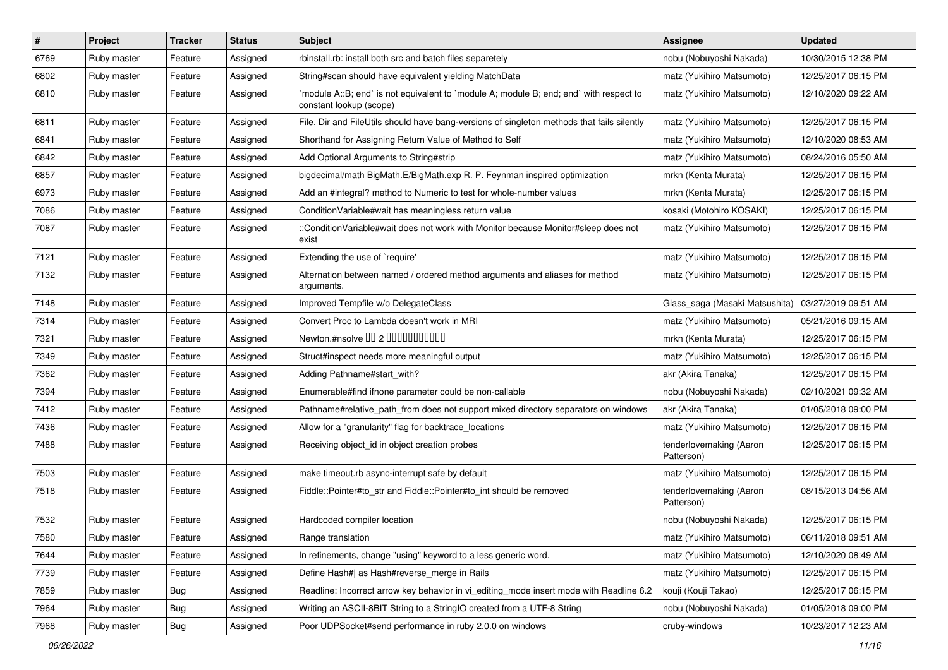| $\vert$ # | Project     | <b>Tracker</b> | <b>Status</b> | Subject                                                                                                          | <b>Assignee</b>                       | <b>Updated</b>      |
|-----------|-------------|----------------|---------------|------------------------------------------------------------------------------------------------------------------|---------------------------------------|---------------------|
| 6769      | Ruby master | Feature        | Assigned      | rbinstall.rb: install both src and batch files separetely                                                        | nobu (Nobuyoshi Nakada)               | 10/30/2015 12:38 PM |
| 6802      | Ruby master | Feature        | Assigned      | String#scan should have equivalent yielding MatchData                                                            | matz (Yukihiro Matsumoto)             | 12/25/2017 06:15 PM |
| 6810      | Ruby master | Feature        | Assigned      | module A::B; end` is not equivalent to `module A; module B; end; end` with respect to<br>constant lookup (scope) | matz (Yukihiro Matsumoto)             | 12/10/2020 09:22 AM |
| 6811      | Ruby master | Feature        | Assigned      | File, Dir and FileUtils should have bang-versions of singleton methods that fails silently                       | matz (Yukihiro Matsumoto)             | 12/25/2017 06:15 PM |
| 6841      | Ruby master | Feature        | Assigned      | Shorthand for Assigning Return Value of Method to Self                                                           | matz (Yukihiro Matsumoto)             | 12/10/2020 08:53 AM |
| 6842      | Ruby master | Feature        | Assigned      | Add Optional Arguments to String#strip                                                                           | matz (Yukihiro Matsumoto)             | 08/24/2016 05:50 AM |
| 6857      | Ruby master | Feature        | Assigned      | bigdecimal/math BigMath.E/BigMath.exp R. P. Feynman inspired optimization                                        | mrkn (Kenta Murata)                   | 12/25/2017 06:15 PM |
| 6973      | Ruby master | Feature        | Assigned      | Add an #integral? method to Numeric to test for whole-number values                                              | mrkn (Kenta Murata)                   | 12/25/2017 06:15 PM |
| 7086      | Ruby master | Feature        | Assigned      | ConditionVariable#wait has meaningless return value                                                              | kosaki (Motohiro KOSAKI)              | 12/25/2017 06:15 PM |
| 7087      | Ruby master | Feature        | Assigned      | ::ConditionVariable#wait does not work with Monitor because Monitor#sleep does not<br>exist                      | matz (Yukihiro Matsumoto)             | 12/25/2017 06:15 PM |
| 7121      | Ruby master | Feature        | Assigned      | Extending the use of `require'                                                                                   | matz (Yukihiro Matsumoto)             | 12/25/2017 06:15 PM |
| 7132      | Ruby master | Feature        | Assigned      | Alternation between named / ordered method arguments and aliases for method<br>arguments.                        | matz (Yukihiro Matsumoto)             | 12/25/2017 06:15 PM |
| 7148      | Ruby master | Feature        | Assigned      | Improved Tempfile w/o DelegateClass                                                                              | Glass_saga (Masaki Matsushita)        | 03/27/2019 09:51 AM |
| 7314      | Ruby master | Feature        | Assigned      | Convert Proc to Lambda doesn't work in MRI                                                                       | matz (Yukihiro Matsumoto)             | 05/21/2016 09:15 AM |
| 7321      | Ruby master | Feature        | Assigned      | Newton.#nsolve 00 2 0000000000                                                                                   | mrkn (Kenta Murata)                   | 12/25/2017 06:15 PM |
| 7349      | Ruby master | Feature        | Assigned      | Struct#inspect needs more meaningful output                                                                      | matz (Yukihiro Matsumoto)             | 12/25/2017 06:15 PM |
| 7362      | Ruby master | Feature        | Assigned      | Adding Pathname#start_with?                                                                                      | akr (Akira Tanaka)                    | 12/25/2017 06:15 PM |
| 7394      | Ruby master | Feature        | Assigned      | Enumerable#find ifnone parameter could be non-callable                                                           | nobu (Nobuyoshi Nakada)               | 02/10/2021 09:32 AM |
| 7412      | Ruby master | Feature        | Assigned      | Pathname#relative_path_from does not support mixed directory separators on windows                               | akr (Akira Tanaka)                    | 01/05/2018 09:00 PM |
| 7436      | Ruby master | Feature        | Assigned      | Allow for a "granularity" flag for backtrace_locations                                                           | matz (Yukihiro Matsumoto)             | 12/25/2017 06:15 PM |
| 7488      | Ruby master | Feature        | Assigned      | Receiving object_id in object creation probes                                                                    | tenderlovemaking (Aaron<br>Patterson) | 12/25/2017 06:15 PM |
| 7503      | Ruby master | Feature        | Assigned      | make timeout.rb async-interrupt safe by default                                                                  | matz (Yukihiro Matsumoto)             | 12/25/2017 06:15 PM |
| 7518      | Ruby master | Feature        | Assigned      | Fiddle::Pointer#to_str and Fiddle::Pointer#to_int should be removed                                              | tenderlovemaking (Aaron<br>Patterson) | 08/15/2013 04:56 AM |
| 7532      | Ruby master | Feature        | Assigned      | Hardcoded compiler location                                                                                      | nobu (Nobuyoshi Nakada)               | 12/25/2017 06:15 PM |
| 7580      | Ruby master | Feature        | Assigned      | Range translation                                                                                                | matz (Yukihiro Matsumoto)             | 06/11/2018 09:51 AM |
| 7644      | Ruby master | Feature        | Assigned      | In refinements, change "using" keyword to a less generic word.                                                   | matz (Yukihiro Matsumoto)             | 12/10/2020 08:49 AM |
| 7739      | Ruby master | Feature        | Assigned      | Define Hash#  as Hash#reverse merge in Rails                                                                     | matz (Yukihiro Matsumoto)             | 12/25/2017 06:15 PM |
| 7859      | Ruby master | Bug            | Assigned      | Readline: Incorrect arrow key behavior in vi_editing_mode insert mode with Readline 6.2                          | kouji (Kouji Takao)                   | 12/25/2017 06:15 PM |
| 7964      | Ruby master | <b>Bug</b>     | Assigned      | Writing an ASCII-8BIT String to a StringIO created from a UTF-8 String                                           | nobu (Nobuyoshi Nakada)               | 01/05/2018 09:00 PM |
| 7968      | Ruby master | Bug            | Assigned      | Poor UDPSocket#send performance in ruby 2.0.0 on windows                                                         | cruby-windows                         | 10/23/2017 12:23 AM |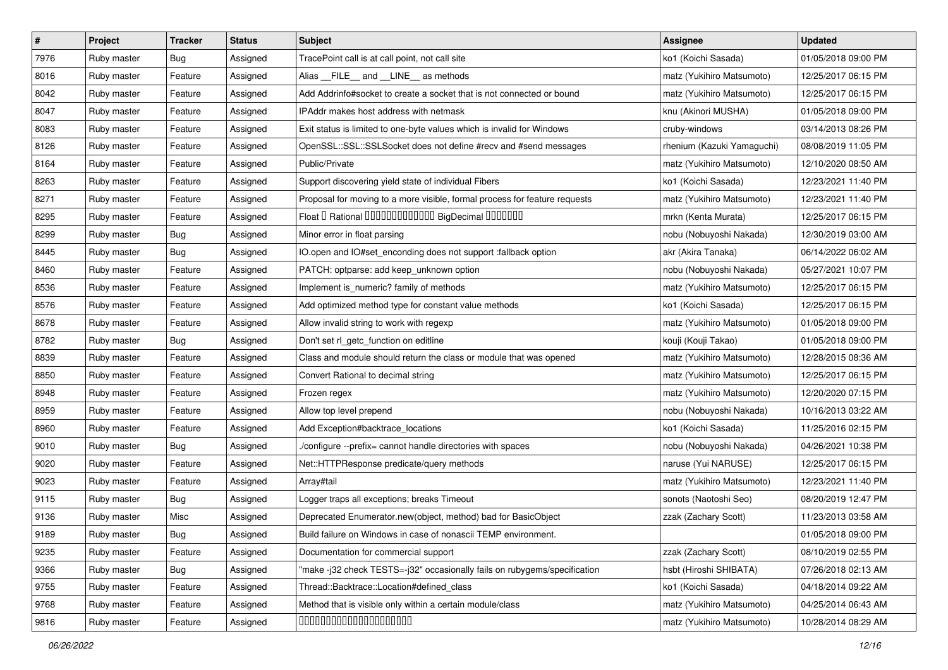| $\sharp$ | Project     | <b>Tracker</b> | <b>Status</b> | <b>Subject</b>                                                             | <b>Assignee</b>            | <b>Updated</b>      |
|----------|-------------|----------------|---------------|----------------------------------------------------------------------------|----------------------------|---------------------|
| 7976     | Ruby master | <b>Bug</b>     | Assigned      | TracePoint call is at call point, not call site                            | ko1 (Koichi Sasada)        | 01/05/2018 09:00 PM |
| 8016     | Ruby master | Feature        | Assigned      | Alias FILE and LINE as methods                                             | matz (Yukihiro Matsumoto)  | 12/25/2017 06:15 PM |
| 8042     | Ruby master | Feature        | Assigned      | Add Addrinfo#socket to create a socket that is not connected or bound      | matz (Yukihiro Matsumoto)  | 12/25/2017 06:15 PM |
| 8047     | Ruby master | Feature        | Assigned      | <b>IPAddr makes host address with netmask</b>                              | knu (Akinori MUSHA)        | 01/05/2018 09:00 PM |
| 8083     | Ruby master | Feature        | Assigned      | Exit status is limited to one-byte values which is invalid for Windows     | cruby-windows              | 03/14/2013 08:26 PM |
| 8126     | Ruby master | Feature        | Assigned      | OpenSSL::SSL::SSLSocket does not define #recv and #send messages           | rhenium (Kazuki Yamaguchi) | 08/08/2019 11:05 PM |
| 8164     | Ruby master | Feature        | Assigned      | Public/Private                                                             | matz (Yukihiro Matsumoto)  | 12/10/2020 08:50 AM |
| 8263     | Ruby master | Feature        | Assigned      | Support discovering yield state of individual Fibers                       | ko1 (Koichi Sasada)        | 12/23/2021 11:40 PM |
| 8271     | Ruby master | Feature        | Assigned      | Proposal for moving to a more visible, formal process for feature requests | matz (Yukihiro Matsumoto)  | 12/23/2021 11:40 PM |
| 8295     | Ruby master | Feature        | Assigned      | Float I Rational IIIIIIIIIIIIIIIIIII BigDecimal IIIIIIIIII                 | mrkn (Kenta Murata)        | 12/25/2017 06:15 PM |
| 8299     | Ruby master | <b>Bug</b>     | Assigned      | Minor error in float parsing                                               | nobu (Nobuyoshi Nakada)    | 12/30/2019 03:00 AM |
| 8445     | Ruby master | Bug            | Assigned      | IO.open and IO#set_enconding does not support :fallback option             | akr (Akira Tanaka)         | 06/14/2022 06:02 AM |
| 8460     | Ruby master | Feature        | Assigned      | PATCH: optparse: add keep_unknown option                                   | nobu (Nobuyoshi Nakada)    | 05/27/2021 10:07 PM |
| 8536     | Ruby master | Feature        | Assigned      | Implement is_numeric? family of methods                                    | matz (Yukihiro Matsumoto)  | 12/25/2017 06:15 PM |
| 8576     | Ruby master | Feature        | Assigned      | Add optimized method type for constant value methods                       | ko1 (Koichi Sasada)        | 12/25/2017 06:15 PM |
| 8678     | Ruby master | Feature        | Assigned      | Allow invalid string to work with regexp                                   | matz (Yukihiro Matsumoto)  | 01/05/2018 09:00 PM |
| 8782     | Ruby master | Bug            | Assigned      | Don't set rl_getc_function on editline                                     | kouji (Kouji Takao)        | 01/05/2018 09:00 PM |
| 8839     | Ruby master | Feature        | Assigned      | Class and module should return the class or module that was opened         | matz (Yukihiro Matsumoto)  | 12/28/2015 08:36 AM |
| 8850     | Ruby master | Feature        | Assigned      | Convert Rational to decimal string                                         | matz (Yukihiro Matsumoto)  | 12/25/2017 06:15 PM |
| 8948     | Ruby master | Feature        | Assigned      | Frozen regex                                                               | matz (Yukihiro Matsumoto)  | 12/20/2020 07:15 PM |
| 8959     | Ruby master | Feature        | Assigned      | Allow top level prepend                                                    | nobu (Nobuyoshi Nakada)    | 10/16/2013 03:22 AM |
| 8960     | Ruby master | Feature        | Assigned      | Add Exception#backtrace_locations                                          | ko1 (Koichi Sasada)        | 11/25/2016 02:15 PM |
| 9010     | Ruby master | Bug            | Assigned      | /configure --prefix= cannot handle directories with spaces                 | nobu (Nobuyoshi Nakada)    | 04/26/2021 10:38 PM |
| 9020     | Ruby master | Feature        | Assigned      | Net::HTTPResponse predicate/query methods                                  | naruse (Yui NARUSE)        | 12/25/2017 06:15 PM |
| 9023     | Ruby master | Feature        | Assigned      | Array#tail                                                                 | matz (Yukihiro Matsumoto)  | 12/23/2021 11:40 PM |
| 9115     | Ruby master | Bug            | Assigned      | Logger traps all exceptions; breaks Timeout                                | sonots (Naotoshi Seo)      | 08/20/2019 12:47 PM |
| 9136     | Ruby master | Misc           | Assigned      | Deprecated Enumerator.new(object, method) bad for BasicObject              | zzak (Zachary Scott)       | 11/23/2013 03:58 AM |
| 9189     | Ruby master | <b>Bug</b>     | Assigned      | Build failure on Windows in case of nonascii TEMP environment.             |                            | 01/05/2018 09:00 PM |
| 9235     | Ruby master | Feature        | Assigned      | Documentation for commercial support                                       | zzak (Zachary Scott)       | 08/10/2019 02:55 PM |
| 9366     | Ruby master | <b>Bug</b>     | Assigned      | "make -j32 check TESTS=-j32" occasionally fails on rubygems/specification  | hsbt (Hiroshi SHIBATA)     | 07/26/2018 02:13 AM |
| 9755     | Ruby master | Feature        | Assigned      | Thread::Backtrace::Location#defined_class                                  | ko1 (Koichi Sasada)        | 04/18/2014 09:22 AM |
| 9768     | Ruby master | Feature        | Assigned      | Method that is visible only within a certain module/class                  | matz (Yukihiro Matsumoto)  | 04/25/2014 06:43 AM |
| 9816     | Ruby master | Feature        | Assigned      | 00000000000000000000                                                       | matz (Yukihiro Matsumoto)  | 10/28/2014 08:29 AM |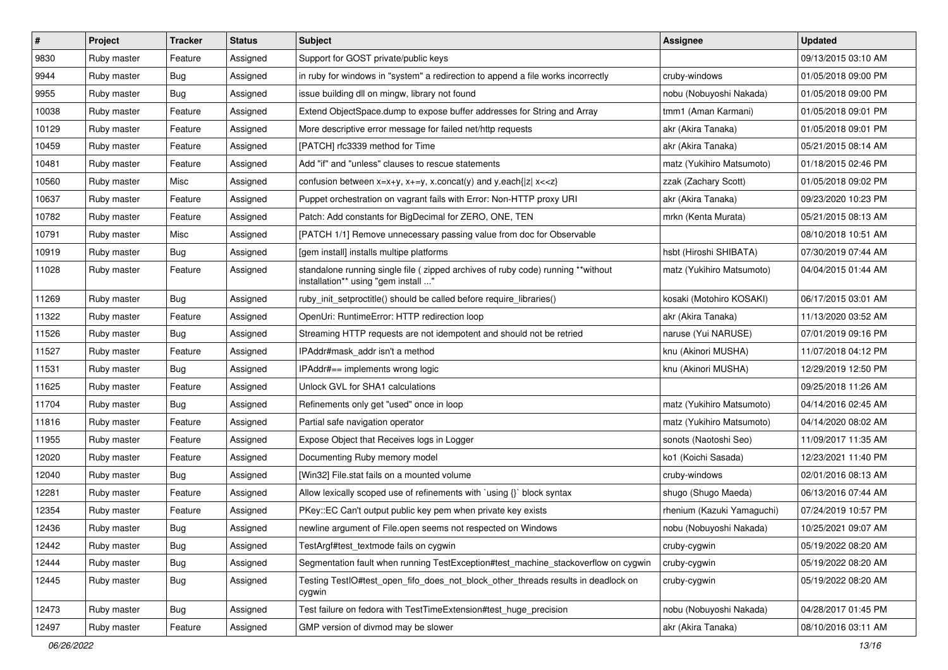| $\sharp$ | Project     | <b>Tracker</b> | <b>Status</b> | <b>Subject</b>                                                                                                          | <b>Assignee</b>            | <b>Updated</b>      |
|----------|-------------|----------------|---------------|-------------------------------------------------------------------------------------------------------------------------|----------------------------|---------------------|
| 9830     | Ruby master | Feature        | Assigned      | Support for GOST private/public keys                                                                                    |                            | 09/13/2015 03:10 AM |
| 9944     | Ruby master | Bug            | Assigned      | in ruby for windows in "system" a redirection to append a file works incorrectly                                        | cruby-windows              | 01/05/2018 09:00 PM |
| 9955     | Ruby master | <b>Bug</b>     | Assigned      | issue building dll on mingw, library not found                                                                          | nobu (Nobuyoshi Nakada)    | 01/05/2018 09:00 PM |
| 10038    | Ruby master | Feature        | Assigned      | Extend ObjectSpace.dump to expose buffer addresses for String and Array                                                 | tmm1 (Aman Karmani)        | 01/05/2018 09:01 PM |
| 10129    | Ruby master | Feature        | Assigned      | More descriptive error message for failed net/http requests                                                             | akr (Akira Tanaka)         | 01/05/2018 09:01 PM |
| 10459    | Ruby master | Feature        | Assigned      | [PATCH] rfc3339 method for Time                                                                                         | akr (Akira Tanaka)         | 05/21/2015 08:14 AM |
| 10481    | Ruby master | Feature        | Assigned      | Add "if" and "unless" clauses to rescue statements                                                                      | matz (Yukihiro Matsumoto)  | 01/18/2015 02:46 PM |
| 10560    | Ruby master | Misc           | Assigned      | confusion between $x=x+y$ , $x+=y$ , x.concat(y) and y.each{ z  $x<}$                                                   | zzak (Zachary Scott)       | 01/05/2018 09:02 PM |
| 10637    | Ruby master | Feature        | Assigned      | Puppet orchestration on vagrant fails with Error: Non-HTTP proxy URI                                                    | akr (Akira Tanaka)         | 09/23/2020 10:23 PM |
| 10782    | Ruby master | Feature        | Assigned      | Patch: Add constants for BigDecimal for ZERO, ONE, TEN                                                                  | mrkn (Kenta Murata)        | 05/21/2015 08:13 AM |
| 10791    | Ruby master | Misc           | Assigned      | [PATCH 1/1] Remove unnecessary passing value from doc for Observable                                                    |                            | 08/10/2018 10:51 AM |
| 10919    | Ruby master | Bug            | Assigned      | [gem install] installs multipe platforms                                                                                | hsbt (Hiroshi SHIBATA)     | 07/30/2019 07:44 AM |
| 11028    | Ruby master | Feature        | Assigned      | standalone running single file ( zipped archives of ruby code) running **without<br>installation** using "gem install " | matz (Yukihiro Matsumoto)  | 04/04/2015 01:44 AM |
| 11269    | Ruby master | <b>Bug</b>     | Assigned      | ruby_init_setproctitle() should be called before require_libraries()                                                    | kosaki (Motohiro KOSAKI)   | 06/17/2015 03:01 AM |
| 11322    | Ruby master | Feature        | Assigned      | OpenUri: RuntimeError: HTTP redirection loop                                                                            | akr (Akira Tanaka)         | 11/13/2020 03:52 AM |
| 11526    | Ruby master | Bug            | Assigned      | Streaming HTTP requests are not idempotent and should not be retried                                                    | naruse (Yui NARUSE)        | 07/01/2019 09:16 PM |
| 11527    | Ruby master | Feature        | Assigned      | IPAddr#mask addr isn't a method                                                                                         | knu (Akinori MUSHA)        | 11/07/2018 04:12 PM |
| 11531    | Ruby master | <b>Bug</b>     | Assigned      | IPAddr#== implements wrong logic                                                                                        | knu (Akinori MUSHA)        | 12/29/2019 12:50 PM |
| 11625    | Ruby master | Feature        | Assigned      | Unlock GVL for SHA1 calculations                                                                                        |                            | 09/25/2018 11:26 AM |
| 11704    | Ruby master | Bug            | Assigned      | Refinements only get "used" once in loop                                                                                | matz (Yukihiro Matsumoto)  | 04/14/2016 02:45 AM |
| 11816    | Ruby master | Feature        | Assigned      | Partial safe navigation operator                                                                                        | matz (Yukihiro Matsumoto)  | 04/14/2020 08:02 AM |
| 11955    | Ruby master | Feature        | Assigned      | Expose Object that Receives logs in Logger                                                                              | sonots (Naotoshi Seo)      | 11/09/2017 11:35 AM |
| 12020    | Ruby master | Feature        | Assigned      | Documenting Ruby memory model                                                                                           | ko1 (Koichi Sasada)        | 12/23/2021 11:40 PM |
| 12040    | Ruby master | Bug            | Assigned      | [Win32] File.stat fails on a mounted volume                                                                             | cruby-windows              | 02/01/2016 08:13 AM |
| 12281    | Ruby master | Feature        | Assigned      | Allow lexically scoped use of refinements with `using {}` block syntax                                                  | shugo (Shugo Maeda)        | 06/13/2016 07:44 AM |
| 12354    | Ruby master | Feature        | Assigned      | PKey::EC Can't output public key pem when private key exists                                                            | rhenium (Kazuki Yamaguchi) | 07/24/2019 10:57 PM |
| 12436    | Ruby master | <b>Bug</b>     | Assigned      | newline argument of File.open seems not respected on Windows                                                            | nobu (Nobuyoshi Nakada)    | 10/25/2021 09:07 AM |
| 12442    | Ruby master | <b>Bug</b>     | Assigned      | TestArgf#test_textmode fails on cygwin                                                                                  | cruby-cygwin               | 05/19/2022 08:20 AM |
| 12444    | Ruby master | Bug            | Assigned      | Segmentation fault when running TestException#test_machine_stackoverflow on cygwin                                      | cruby-cygwin               | 05/19/2022 08:20 AM |
| 12445    | Ruby master | Bug            | Assigned      | Testing TestIO#test_open_fifo_does_not_block_other_threads results in deadlock on<br>cygwin                             | cruby-cygwin               | 05/19/2022 08:20 AM |
| 12473    | Ruby master | <b>Bug</b>     | Assigned      | Test failure on fedora with TestTimeExtension#test_huge_precision                                                       | nobu (Nobuyoshi Nakada)    | 04/28/2017 01:45 PM |
| 12497    | Ruby master | Feature        | Assigned      | GMP version of divmod may be slower                                                                                     | akr (Akira Tanaka)         | 08/10/2016 03:11 AM |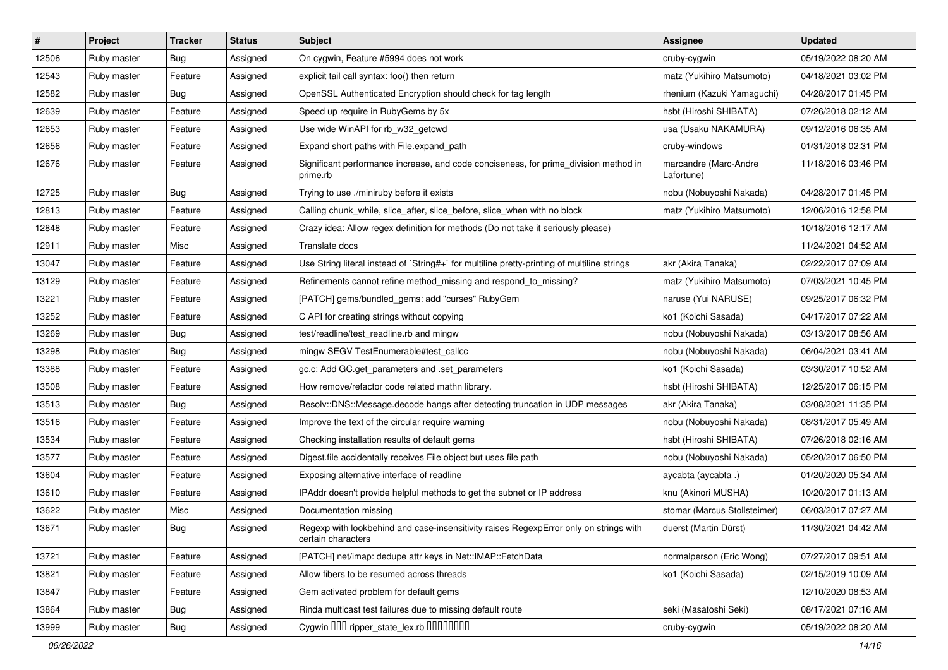| #     | Project     | <b>Tracker</b> | <b>Status</b> | <b>Subject</b>                                                                                              | <b>Assignee</b>                     | <b>Updated</b>      |
|-------|-------------|----------------|---------------|-------------------------------------------------------------------------------------------------------------|-------------------------------------|---------------------|
| 12506 | Ruby master | <b>Bug</b>     | Assigned      | On cygwin, Feature #5994 does not work                                                                      | cruby-cygwin                        | 05/19/2022 08:20 AM |
| 12543 | Ruby master | Feature        | Assigned      | explicit tail call syntax: foo() then return                                                                | matz (Yukihiro Matsumoto)           | 04/18/2021 03:02 PM |
| 12582 | Ruby master | Bug            | Assigned      | OpenSSL Authenticated Encryption should check for tag length                                                | rhenium (Kazuki Yamaguchi)          | 04/28/2017 01:45 PM |
| 12639 | Ruby master | Feature        | Assigned      | Speed up require in RubyGems by 5x                                                                          | hsbt (Hiroshi SHIBATA)              | 07/26/2018 02:12 AM |
| 12653 | Ruby master | Feature        | Assigned      | Use wide WinAPI for rb_w32_getcwd                                                                           | usa (Usaku NAKAMURA)                | 09/12/2016 06:35 AM |
| 12656 | Ruby master | Feature        | Assigned      | Expand short paths with File.expand_path                                                                    | cruby-windows                       | 01/31/2018 02:31 PM |
| 12676 | Ruby master | Feature        | Assigned      | Significant performance increase, and code conciseness, for prime_division method in<br>prime.rb            | marcandre (Marc-Andre<br>Lafortune) | 11/18/2016 03:46 PM |
| 12725 | Ruby master | <b>Bug</b>     | Assigned      | Trying to use ./miniruby before it exists                                                                   | nobu (Nobuyoshi Nakada)             | 04/28/2017 01:45 PM |
| 12813 | Ruby master | Feature        | Assigned      | Calling chunk_while, slice_after, slice_before, slice_when with no block                                    | matz (Yukihiro Matsumoto)           | 12/06/2016 12:58 PM |
| 12848 | Ruby master | Feature        | Assigned      | Crazy idea: Allow regex definition for methods (Do not take it seriously please)                            |                                     | 10/18/2016 12:17 AM |
| 12911 | Ruby master | Misc           | Assigned      | Translate docs                                                                                              |                                     | 11/24/2021 04:52 AM |
| 13047 | Ruby master | Feature        | Assigned      | Use String literal instead of `String#+` for multiline pretty-printing of multiline strings                 | akr (Akira Tanaka)                  | 02/22/2017 07:09 AM |
| 13129 | Ruby master | Feature        | Assigned      | Refinements cannot refine method_missing and respond_to_missing?                                            | matz (Yukihiro Matsumoto)           | 07/03/2021 10:45 PM |
| 13221 | Ruby master | Feature        | Assigned      | [PATCH] gems/bundled_gems: add "curses" RubyGem                                                             | naruse (Yui NARUSE)                 | 09/25/2017 06:32 PM |
| 13252 | Ruby master | Feature        | Assigned      | C API for creating strings without copying                                                                  | ko1 (Koichi Sasada)                 | 04/17/2017 07:22 AM |
| 13269 | Ruby master | Bug            | Assigned      | test/readline/test_readline.rb and mingw                                                                    | nobu (Nobuyoshi Nakada)             | 03/13/2017 08:56 AM |
| 13298 | Ruby master | Bug            | Assigned      | mingw SEGV TestEnumerable#test_callcc                                                                       | nobu (Nobuyoshi Nakada)             | 06/04/2021 03:41 AM |
| 13388 | Ruby master | Feature        | Assigned      | gc.c: Add GC.get_parameters and .set_parameters                                                             | ko1 (Koichi Sasada)                 | 03/30/2017 10:52 AM |
| 13508 | Ruby master | Feature        | Assigned      | How remove/refactor code related mathn library.                                                             | hsbt (Hiroshi SHIBATA)              | 12/25/2017 06:15 PM |
| 13513 | Ruby master | Bug            | Assigned      | Resolv::DNS::Message.decode hangs after detecting truncation in UDP messages                                | akr (Akira Tanaka)                  | 03/08/2021 11:35 PM |
| 13516 | Ruby master | Feature        | Assigned      | Improve the text of the circular require warning                                                            | nobu (Nobuyoshi Nakada)             | 08/31/2017 05:49 AM |
| 13534 | Ruby master | Feature        | Assigned      | Checking installation results of default gems                                                               | hsbt (Hiroshi SHIBATA)              | 07/26/2018 02:16 AM |
| 13577 | Ruby master | Feature        | Assigned      | Digest file accidentally receives File object but uses file path                                            | nobu (Nobuyoshi Nakada)             | 05/20/2017 06:50 PM |
| 13604 | Ruby master | Feature        | Assigned      | Exposing alternative interface of readline                                                                  | aycabta (aycabta.)                  | 01/20/2020 05:34 AM |
| 13610 | Ruby master | Feature        | Assigned      | IPAddr doesn't provide helpful methods to get the subnet or IP address                                      | knu (Akinori MUSHA)                 | 10/20/2017 01:13 AM |
| 13622 | Ruby master | Misc           | Assigned      | Documentation missing                                                                                       | stomar (Marcus Stollsteimer)        | 06/03/2017 07:27 AM |
| 13671 | Ruby master | Bug            | Assigned      | Regexp with lookbehind and case-insensitivity raises RegexpError only on strings with<br>certain characters | duerst (Martin Dürst)               | 11/30/2021 04:42 AM |
| 13721 | Ruby master | Feature        | Assigned      | [PATCH] net/imap: dedupe attr keys in Net::IMAP::FetchData                                                  | normalperson (Eric Wong)            | 07/27/2017 09:51 AM |
| 13821 | Ruby master | Feature        | Assigned      | Allow fibers to be resumed across threads                                                                   | ko1 (Koichi Sasada)                 | 02/15/2019 10:09 AM |
| 13847 | Ruby master | Feature        | Assigned      | Gem activated problem for default gems                                                                      |                                     | 12/10/2020 08:53 AM |
| 13864 | Ruby master | <b>Bug</b>     | Assigned      | Rinda multicast test failures due to missing default route                                                  | seki (Masatoshi Seki)               | 08/17/2021 07:16 AM |
| 13999 | Ruby master | Bug            | Assigned      | Cygwin OOO ripper_state_lex.rb 0000000                                                                      | cruby-cygwin                        | 05/19/2022 08:20 AM |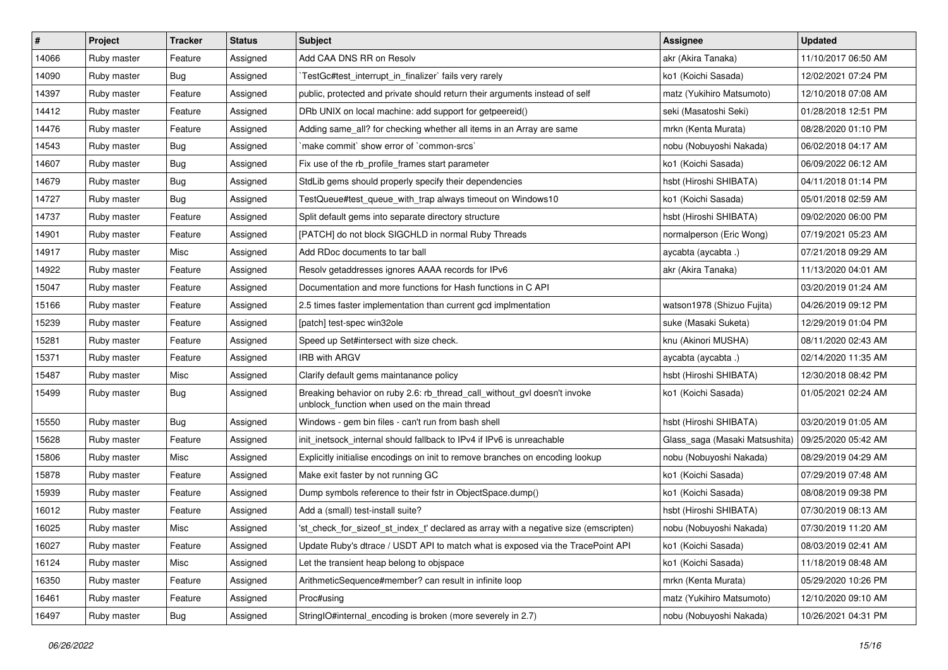| $\vert$ # | Project     | <b>Tracker</b> | <b>Status</b> | Subject                                                                                                                   | <b>Assignee</b>                | <b>Updated</b>      |
|-----------|-------------|----------------|---------------|---------------------------------------------------------------------------------------------------------------------------|--------------------------------|---------------------|
| 14066     | Ruby master | Feature        | Assigned      | Add CAA DNS RR on Resolv                                                                                                  | akr (Akira Tanaka)             | 11/10/2017 06:50 AM |
| 14090     | Ruby master | Bug            | Assigned      | TestGc#test_interrupt_in_finalizer` fails very rarely                                                                     | ko1 (Koichi Sasada)            | 12/02/2021 07:24 PM |
| 14397     | Ruby master | Feature        | Assigned      | public, protected and private should return their arguments instead of self                                               | matz (Yukihiro Matsumoto)      | 12/10/2018 07:08 AM |
| 14412     | Ruby master | Feature        | Assigned      | DRb UNIX on local machine: add support for getpeereid()                                                                   | seki (Masatoshi Seki)          | 01/28/2018 12:51 PM |
| 14476     | Ruby master | Feature        | Assigned      | Adding same_all? for checking whether all items in an Array are same                                                      | mrkn (Kenta Murata)            | 08/28/2020 01:10 PM |
| 14543     | Ruby master | <b>Bug</b>     | Assigned      | 'make commit' show error of 'common-srcs'                                                                                 | nobu (Nobuyoshi Nakada)        | 06/02/2018 04:17 AM |
| 14607     | Ruby master | Bug            | Assigned      | Fix use of the rb_profile_frames start parameter                                                                          | ko1 (Koichi Sasada)            | 06/09/2022 06:12 AM |
| 14679     | Ruby master | <b>Bug</b>     | Assigned      | StdLib gems should properly specify their dependencies                                                                    | hsbt (Hiroshi SHIBATA)         | 04/11/2018 01:14 PM |
| 14727     | Ruby master | Bug            | Assigned      | TestQueue#test_queue_with_trap always timeout on Windows10                                                                | ko1 (Koichi Sasada)            | 05/01/2018 02:59 AM |
| 14737     | Ruby master | Feature        | Assigned      | Split default gems into separate directory structure                                                                      | hsbt (Hiroshi SHIBATA)         | 09/02/2020 06:00 PM |
| 14901     | Ruby master | Feature        | Assigned      | [PATCH] do not block SIGCHLD in normal Ruby Threads                                                                       | normalperson (Eric Wong)       | 07/19/2021 05:23 AM |
| 14917     | Ruby master | Misc           | Assigned      | Add RDoc documents to tar ball                                                                                            | aycabta (aycabta .)            | 07/21/2018 09:29 AM |
| 14922     | Ruby master | Feature        | Assigned      | Resolv getaddresses ignores AAAA records for IPv6                                                                         | akr (Akira Tanaka)             | 11/13/2020 04:01 AM |
| 15047     | Ruby master | Feature        | Assigned      | Documentation and more functions for Hash functions in C API                                                              |                                | 03/20/2019 01:24 AM |
| 15166     | Ruby master | Feature        | Assigned      | 2.5 times faster implementation than current gcd implmentation                                                            | watson1978 (Shizuo Fujita)     | 04/26/2019 09:12 PM |
| 15239     | Ruby master | Feature        | Assigned      | [patch] test-spec win32ole                                                                                                | suke (Masaki Suketa)           | 12/29/2019 01:04 PM |
| 15281     | Ruby master | Feature        | Assigned      | Speed up Set#intersect with size check.                                                                                   | knu (Akinori MUSHA)            | 08/11/2020 02:43 AM |
| 15371     | Ruby master | Feature        | Assigned      | <b>IRB with ARGV</b>                                                                                                      | aycabta (aycabta.)             | 02/14/2020 11:35 AM |
| 15487     | Ruby master | Misc           | Assigned      | Clarify default gems maintanance policy                                                                                   | hsbt (Hiroshi SHIBATA)         | 12/30/2018 08:42 PM |
| 15499     | Ruby master | Bug            | Assigned      | Breaking behavior on ruby 2.6: rb_thread_call_without_gvl doesn't invoke<br>unblock_function when used on the main thread | ko1 (Koichi Sasada)            | 01/05/2021 02:24 AM |
| 15550     | Ruby master | Bug            | Assigned      | Windows - gem bin files - can't run from bash shell                                                                       | hsbt (Hiroshi SHIBATA)         | 03/20/2019 01:05 AM |
| 15628     | Ruby master | Feature        | Assigned      | init_inetsock_internal should fallback to IPv4 if IPv6 is unreachable                                                     | Glass_saga (Masaki Matsushita) | 09/25/2020 05:42 AM |
| 15806     | Ruby master | Misc           | Assigned      | Explicitly initialise encodings on init to remove branches on encoding lookup                                             | nobu (Nobuyoshi Nakada)        | 08/29/2019 04:29 AM |
| 15878     | Ruby master | Feature        | Assigned      | Make exit faster by not running GC                                                                                        | ko1 (Koichi Sasada)            | 07/29/2019 07:48 AM |
| 15939     | Ruby master | Feature        | Assigned      | Dump symbols reference to their fstr in ObjectSpace.dump()                                                                | ko1 (Koichi Sasada)            | 08/08/2019 09:38 PM |
| 16012     | Ruby master | Feature        | Assigned      | Add a (small) test-install suite?                                                                                         | hsbt (Hiroshi SHIBATA)         | 07/30/2019 08:13 AM |
| 16025     | Ruby master | Misc           | Assigned      | 'st_check_for_sizeof_st_index_t' declared as array with a negative size (emscripten)                                      | nobu (Nobuyoshi Nakada)        | 07/30/2019 11:20 AM |
| 16027     | Ruby master | Feature        | Assigned      | Update Ruby's dtrace / USDT API to match what is exposed via the TracePoint API                                           | ko1 (Koichi Sasada)            | 08/03/2019 02:41 AM |
| 16124     | Ruby master | Misc           | Assigned      | Let the transient heap belong to objspace                                                                                 | ko1 (Koichi Sasada)            | 11/18/2019 08:48 AM |
| 16350     | Ruby master | Feature        | Assigned      | ArithmeticSequence#member? can result in infinite loop                                                                    | mrkn (Kenta Murata)            | 05/29/2020 10:26 PM |
| 16461     | Ruby master | Feature        | Assigned      | Proc#using                                                                                                                | matz (Yukihiro Matsumoto)      | 12/10/2020 09:10 AM |
| 16497     | Ruby master | <b>Bug</b>     | Assigned      | StringIO#internal_encoding is broken (more severely in 2.7)                                                               | nobu (Nobuyoshi Nakada)        | 10/26/2021 04:31 PM |